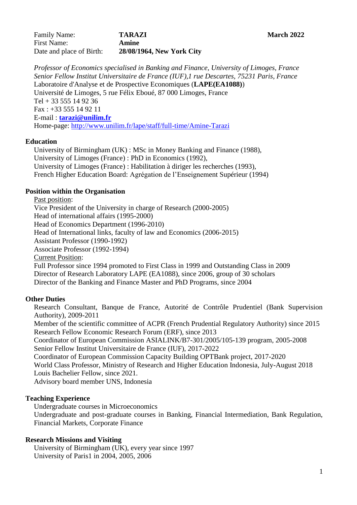Family Name: **TARAZI March** 2022 First Name: **Amine** Date and place of Birth: **28/08/1964, New York City**

*Professor of Economics specialised in Banking and Finance, University of Limoges, France Senior Fellow Institut Universitaire de France (IUF),1 rue Descartes, 75231 Paris, France*  Laboratoire d'Analyse et de Prospective Economiques (**LAPE(EA1088)**) Université de Limoges, 5 rue Félix Eboué, 87 000 Limoges, France Tel  $+$  33 555 14 92 36 Fax : +33 555 14 92 11 E-mail : **[tarazi@unilim.fr](mailto:tarazi@unilim.fr)** Home-page: <http://www.unilim.fr/lape/staff/full-time/Amine-Tarazi>

### **Education**

University of Birmingham (UK) : MSc in Money Banking and Finance (1988), University of Limoges (France) : PhD in Economics (1992), University of Limoges (France) : Habilitation à diriger les recherches (1993), French Higher Education Board: Agrégation de l'Enseignement Supérieur (1994)

### **Position within the Organisation**

Past position: Vice President of the University in charge of Research (2000-2005) Head of international affairs (1995-2000) Head of Economics Department (1996-2010) Head of International links, faculty of law and Economics (2006-2015) Assistant Professor (1990-1992) Associate Professor (1992-1994) Current Position: Full Professor since 1994 promoted to First Class in 1999 and Outstanding Class in 2009 Director of Research Laboratory LAPE (EA1088), since 2006, group of 30 scholars

Director of the Banking and Finance Master and PhD Programs, since 2004

### **Other Duties**

Research Consultant, Banque de France, Autorité de Contrôle Prudentiel (Bank Supervision Authority), 2009-2011

Member of the scientific committee of ACPR (French Prudential Regulatory Authority) since 2015 Research Fellow Economic Research Forum (ERF), since 2013

Coordinator of European Commission ASIALINK/B7-301/2005/105-139 program*,* 2005-2008 Senior Fellow Institut Universitaire de France (IUF), 2017-2022

Coordinator of European Commission Capacity Building OPTBank project, 2017-2020 World Class Professor, Ministry of Research and Higher Education Indonesia, July-August 2018 Louis Bachelier Fellow, since 2021.

Advisory board member UNS, Indonesia

# **Teaching Experience**

Undergraduate courses in Microeconomics

Undergraduate and post-graduate courses in Banking, Financial Intermediation, Bank Regulation, Financial Markets, Corporate Finance

# **Research Missions and Visiting**

University of Birmingham (UK), every year since 1997 University of Paris1 in 2004, 2005, 2006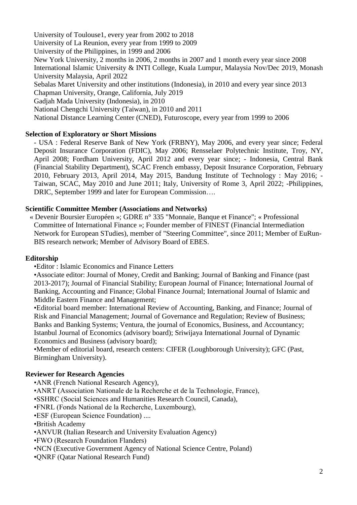University of Toulouse1, every year from 2002 to 2018 University of La Reunion, every year from 1999 to 2009 University of the Philippines, in 1999 and 2006 New York University, 2 months in 2006, 2 months in 2007 and 1 month every year since 2008 International Islamic University & INTI College, Kuala Lumpur, Malaysia Nov/Dec 2019, Monash University Malaysia, April 2022 Sebalas Maret University and other institutions (Indonesia), in 2010 and every year since 2013 Chapman University, Orange, California, July 2019 Gadjah Mada University (Indonesia), in 2010 National Chengchi University (Taiwan), in 2010 and 2011 National Distance Learning Center (CNED), Futuroscope, every year from 1999 to 2006

# **Selection of Exploratory or Short Missions**

- USA : Federal Reserve Bank of New York (FRBNY), May 2006, and every year since; Federal Deposit Insurance Corporation (FDIC), May 2006; Rensselaer Polytechnic Institute, Troy, NY, April 2008; Fordham University, April 2012 and every year since; - Indonesia, Central Bank (Financial Stability Department), SCAC French embassy, Deposit Insurance Corporation, February 2010, February 2013, April 2014, May 2015, Bandung Institute of Technology : May 2016; - Taiwan, SCAC, May 2010 and June 2011; Italy, University of Rome 3, April 2022; -Philippines, DRIC, September 1999 and later for European Commission….

### **Scientific Committee Member (Associations and Networks)**

« Devenir Boursier Européen »; GDRE n° 335 "Monnaie, Banque et Finance"; « Professional Committee of International Finance »; Founder member of FINEST (Financial Intermediation Network for European STudies), member of "Steering Committee", since 2011; Member of EuRun-BIS research network; Member of Advisory Board of EBES.

### **Editorship**

•Editor : Islamic Economics and Finance Letters

•Associate editor: Journal of Money, Credit and Banking; Journal of Banking and Finance (past 2013-2017); Journal of Financial Stability; European Journal of Finance; International Journal of Banking, Accounting and Finance; Global Finance Journal; International Journal of Islamic and Middle Eastern Finance and Management;

•Editorial board member: International Review of Accounting, Banking, and Finance; Journal of Risk and Financial Management; Journal of Governance and Regulation; Review of Business; Banks and Banking Systems; Ventura, the journal of Economics, Business, and Accountancy; Istanbul Journal of Economics (advisory board); Sriwijaya International Journal of Dynamic Economics and Business (advisory board);

•Member of editorial board, research centers: CIFER (Loughborough University); GFC (Past, Birmingham University).

### **Reviewer for Research Agencies**

- •ANR (French National Research Agency),
- •ANRT (Association Nationale de la Recherche et de la Technologie, France),
- •SSHRC (Social Sciences and Humanities Research Council, Canada),
- •FNRL (Fonds National de la Recherche, Luxembourg),
- •ESF (European Science Foundation) ....
- •British Academy
- •ANVUR (Italian Research and University Evaluation Agency)
- •FWO (Research Foundation Flanders)
- •NCN (Executive Government Agency of National Science Centre, Poland)
- •QNRF (Qatar National Research Fund)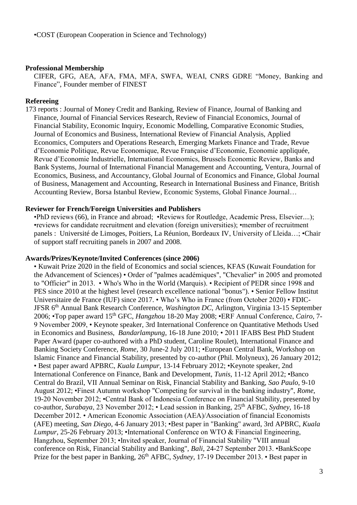#### **Professional Membership**

CIFER, GFG, AEA, AFA, FMA, MFA, SWFA, WEAI, CNRS GDRE "Money, Banking and Finance", Founder member of FINEST

### **Refereeing**

173 reports : Journal of Money Credit and Banking, Review of Finance, Journal of Banking and Finance, Journal of Financial Services Research, Review of Financial Economics, Journal of Financial Stability, Economic Inquiry, Economic Modelling, Comparative Economic Studies, Journal of Economics and Business, International Review of Financial Analysis, Applied Economics, Computers and Operations Research, Emerging Markets Finance and Trade, Revue d'Economie Politique, Revue Economique, Revue Française d'Economie, Economie appliquée, Revue d'Economie Industrielle, International Economics, Brussels Economic Review, Banks and Bank Systems, Journal of International Financial Management and Accounting, Ventura, Journal of Economics, Business, and Accountancy, Global Journal of Economics and Finance, Global Journal of Business, Management and Accounting, Research in International Business and Finance, British Accounting Review, Borsa Istanbul Review, Economic Systems, Global Finance Journal…

### **Reviewer for French/Foreign Universities and Publishers**

•PhD reviews (66), in France and abroad; •Reviews for Routledge, Academic Press, Elsevier....); •reviews for candidate recruitment and elevation (foreign universities); •member of recruitment panels : Université de Limoges, Poitiers, La Réunion, Bordeaux IV, University of Lleida…; •Chair of support staff recruiting panels in 2007 and 2008.

#### **Awards/Prizes/Keynote/Invited Conferences (since 2006)**

• Kuwait Prize 2020 in the field of Economics and social sciences, KFAS (Kuwait Foundation for the Advancement of Sciences) • Order of "palmes académiques", "Chevalier" in 2005 and promoted to "Officier" in 2013. • Who's Who in the World (Marquis). • Recipient of PEDR since 1998 and PES since 2010 at the highest level (research excellence national "bonus"). • Senior Fellow Institut Universitaire de France (IUF) since 2017. • Who's Who in France (from October 2020) • FDIC-JFSR 6th Annual Bank Research Conference, *Washington DC*, Arlington, Virginia 13-15 September 2006; •Top paper award 15th GFC, *Hangzhou* 18-20 May 2008; •ERF Annual Conference, *Cairo*, 7- 9 November 2009, • Keynote speaker, 3rd International Conference on Quantitative Methods Used in Economics and Business, *Bandarlampung*, 16-18 June 2010; • 2011 IFABS Best PhD Student Paper Award (paper co-authored with a PhD student, Caroline Roulet), International Finance and Banking Society Conference*, Rome,* 30 June-2 July 2011; •European Central Bank, Workshop on Islamic Finance and Financial Stability, presented by co-author (Phil. Molyneux), 26 January 2012; • Best paper award APBRC, *Kuala Lumpur*, 13-14 February 2012; •Keynote speaker, 2nd International Conference on Finance, Bank and Development, *Tunis*, 11-12 April 2012; •Banco Central do Brazil, VII Annual Seminar on Risk, Financial Stability and Banking, *Sao Paulo*, 9-10 August 2012; •Finest Autumn workshop "Competing for survival in the banking industry", *Rome*, 19-20 November 2012; •Central Bank of Indonesia Conference on Financial Stability, presented by co-author, *Surabaya*, 23 November 2012; • Lead session in Banking, 25<sup>th</sup> AFBC, *Sydney*, 16-18 December 2012. • American Economic Association (AEA)/Association of financial Economists (AFE) meeting, *San Diego,* 4-6 January 2013; •Best paper in "Banking" award, 3rd APBRC, *Kuala Lumpur*, 25-26 February 2013; •International Conference on WTO & Financial Engineering, Hangzhou, September 2013; •Invited speaker, Journal of Financial Stability "VIII annual conference on Risk, Financial Stability and Banking", *Bali*, 24-27 September 2013. •BankScope Prize for the best paper in Banking, 26<sup>th</sup> AFBC, *Sydney*, 17-19 December 2013. • Best paper in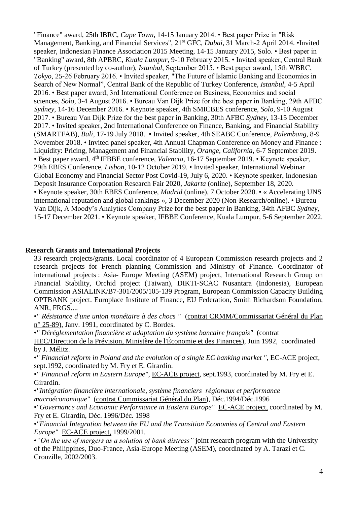"Finance" award, 25th IBRC, *Cape Town*, 14-15 January 2014. • Best paper Prize in "Risk Management, Banking, and Financial Services", 21st GFC, *Dubai*, 31 March-2 April 2014. •Invited speaker, Indonesian Finance Association 2015 Meeting, 14-15 January 2015, Solo. • Best paper in "Banking" award, 8th APBRC, *Kuala Lumpur*, 9-10 February 2015. • Invited speaker, Central Bank of Turkey (presented by co-author), *Istanbul*, September 2015. • Best paper award, 15th WBRC, *Tokyo*, 25-26 February 2016. • Invited speaker, "The Future of Islamic Banking and Economics in Search of New Normal", Central Bank of the Republic of Turkey Conference, *Istanbul*, 4-5 April 2016. • Best paper award, 3rd International Conference on Business, Economics and social sciences, *Solo*, 3-4 August 2016. • Bureau Van Dijk Prize for the best paper in Banking, 29th AFBC *Sydney*, 14-16 December 2016. • Keynote speaker, 4th SMICBES conference, *Solo*, 9-10 August 2017. • Bureau Van Dijk Prize for the best paper in Banking, 30th AFBC *Sydney*, 13-15 December 2017. • Invited speaker, 2nd International Conference on Finance, Banking, and Financial Stability (SMARTFAB), *Bali*, 17-19 July 2018. • Invited speaker, 4th SEABC Conference, *Palembang*, 8-9 November 2018. • Invited panel speaker, 4th Annual Chapman Conference on Money and Finance : Liquidity: Pricing, Management and Financial Stability, *Orange, California*, 6-7 September 2019. • Best paper award, 4<sup>th</sup> IFBBE conference, *Valencia*, 16-17 September 2019. • Keynote speaker, 29th EBES Conference, *Lisbon,* 10-12 October 2019. • Invited speaker, International Webinar Global Economy and Financial Sector Post Covid-19, July 6, 2020. • Keynote speaker, Indonesian Deposit Insurance Corporation Research Fair 2020, *Jakarta* (online), September 18, 2020. • Keynote speaker, 30th EBES Conference, *Madrid* (online)*,* 7 October 2020. • « Accelerating UNS international reputation and global rankings », 3 December 2020 (Non-Research/online). • Bureau Van Dijk, A Moody's Analytics Company Prize for the best paper in Banking, 34th AFBC *Sydney*, 15-17 December 2021. • Keynote speaker, IFBBE Conference, Kuala Lumpur, 5-6 September 2022.

### **Research Grants and International Projects**

33 research projects/grants. Local coordinator of 4 European Commission research projects and 2 research projects for French planning Commission and Ministry of Finance. Coordinator of international projects : Asia- Europe Meeting (ASEM) project, International Research Group on Financial Stability, Orchid project (Taiwan), DIKTI-SCAC Nusantara (Indonesia), European Commission ASIALINK/B7-301/2005/105-139 Program, European Commission Capacity Building OPTBANK project. Europlace Institute of Finance, EU Federation, Smith Richardson Foundation, ANR, FRGS....

•*" Résistance d'une union monétaire à des chocs "* (contrat CRMM/Commissariat Général du Plan n° 25-89), Janv. 1991, coordinated by C. Bordes.

•*" Déréglementation financière et adaptation du système bancaire français"* (contrat

HEC/Direction de la Prévision, Ministère de l'Économie et des Finances), Juin 1992, coordinated by J. Mélitz.

•*" Financial reform in Poland and the evolution of a single EC banking market "*, EC-ACE project, sept.1992, coordinated by M. Fry et E. Girardin.

•*" Financial reform in Eastern Europe"*, EC-ACE project, sept.1993, coordinated by M. Fry et E. Girardin.

•*"Intégration financière internationale, système financiers régionaux et performance* 

*macroéconomique"* (contrat Commissariat Général du Plan), Déc.1994/Déc.1996

•*"Governance and Economic Performance in Eastern Europe"* EC-ACE project, coordinated by M. Fry et E. Girardin, Déc. 1996/Déc. 1998

•*"Financial Integration between the EU and the Transition Economies of Central and Eastern Europe"* EC-ACE project, 1999/2001.

•*"On the use of mergers as a solution of bank distress"* joint research program with the University of the Philippines, Duo-France, Asia-Europe Meeting (ASEM), coordinated by A. Tarazi et C. Crouzille, 2002/2003.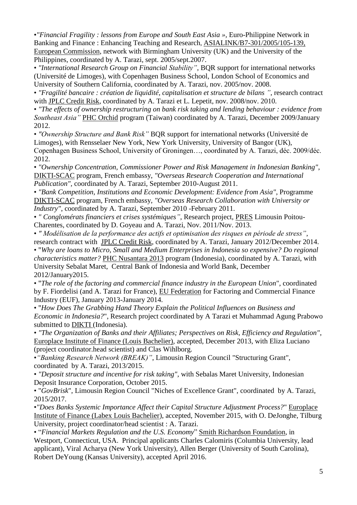•*"Financial Fragility : lessons from Europe and South East Asia »,* Euro-Philippine Network in Banking and Finance : Enhancing Teaching and Research, ASIALINK/B7-301/2005/105-139*,* European Commission, network with Birmingham University (UK) and the University of the Philippines, coordinated by A. Tarazi, sept. 2005/sept.2007.

• *"International Research Group on Financial Stability"*, BQR support for international networks (Université de Limoges), with Copenhagen Business School, London School of Economics and University of Southern California, coordinated by A. Tarazi, nov. 2005/nov. 2008.

• *"Fragilité bancaire : création de liquidité, capitalisation et structure de bilans "*, research contract with JPLC Credit Risk, coordinated by A. Tarazi et L. Lepetit, nov. 2008/nov. 2010.

• *"The effects of ownership restructuring on bank risk taking and lending behaviour : evidence from Southeast Asia"* PHC Orchid program (Taiwan) coordinated by A. Tarazi, December 2009/January 2012.

• *"Ownership Structure and Bank Risk"* BQR support for international networks (Université de Limoges), with Rensselaer New York, New York University, University of Bangor (UK), Copenhagen Business School, University of Groningen…, coordinated by A. Tarazi, déc. 2009/déc. 2012.

• *"Ownership Concentration, Commissioner Power and Risk Management in Indonesian Banking"*, DIKTI-SCAC program, French embassy, *"Overseas Research Cooperation and International Publication",* coordinated by A. Tarazi, September 2010-August 2011.

• *"Bank Competition, Institutions and Economic Development: Evidence from Asia"*, Programme DIKTI-SCAC program, French embassy, *"Overseas Research Collaboration with University or Industry"*, coordinated by A. Tarazi, September 2010 -February 2011.

• *" Conglomérats financiers et crises systémiques"*, Research project, PRES Limousin Poitou-Charentes, coordinated by D. Goyeau and A. Tarazi, Nov. 2011/Nov. 2013.

• *" Modélisation de la performance des actifs et optimisation des risques en période de stress"*, research contract with JPLC Credit Risk, coordinated by A. Tarazi, January 2012/December 2014. • "*Why are loans to Micro, Small and Medium Enterprises in Indonesia so expensive? Do regional characteristics matter?* PHC Nusantara 2013 program (Indonesia), coordinated by A. Tarazi, with University Sebalat Maret, Central Bank of Indonesia and World Bank, December 2012/January2015.

• "*The role of the factoring and commercial finance industry in the European Union*", coordinated by F. Fiordelisi (and A. Tarazi for France), EU Federation for Factoring and Commercial Finance Industry (EUF), January 2013-January 2014.

• "*How Does The Grabbing Hand Theory Explain the Political Influences on Business and Economic in Indonesia?*", Research project coordinated by A Tarazi et Muhammad Agung Prabowo submitted to DIKTI (Indonesia).

• *"The Organization of Banks and their Affiliates; Perspectives on Risk, Efficiency and Regulation"*, Europlace Institute of Finance (Louis Bachelier), accepted, December 2013, with Eliza Luciano (project coordinator.head scientist) and Clas Wihlborg.

•*"Banking Research Network (BREAK)"*, Limousin Region Council "Structuring Grant", coordinated by A. Tarazi, 2013/2015.

• *"Deposit structure and incentive for risk taking",* with Sebalas Maret University, Indonesian Deposit Insurance Corporation, October 2015.

• "*GovBrisk*", Limousin Region Council "Niches of Excellence Grant", coordinated by A. Tarazi, 2015/2017.

•*"Does Banks Systemic Importance Affect their Capital Structure Adjustment Process?*" Europlace Institute of Finance (Labex Louis Bachelier), accepted, November 2015, with O. DeJonghe, Tilburg University, project coordinator/head scientist : A. Tarazi.

• "*Financial Markets Regulation and the U.S. Economy*" Smith Richardson Foundation, in Westport, Connecticut, USA. Principal applicants Charles Calomiris (Columbia University, lead applicant), Viral Acharya (New York University), Allen Berger (University of South Carolina), Robert DeYoung (Kansas University), accepted April 2016.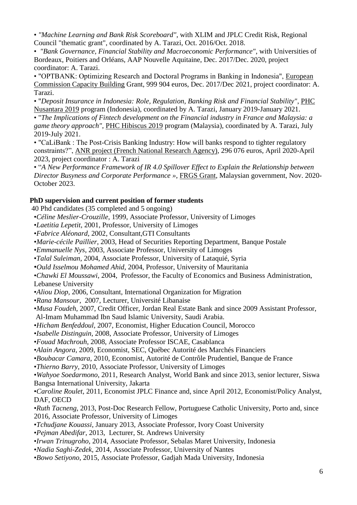• *"Machine Learning and Bank Risk Scoreboard"*, with XLIM and JPLC Credit Risk, Regional Council "thematic grant", coordinated by A. Tarazi, Oct. 2016/Oct. 2018.

• *"Bank Governance, Financial Stability and Macroeconomic Performance"*, with Universities of Bordeaux, Poitiers and Orléans, AAP Nouvelle Aquitaine, Dec. 2017/Dec. 2020, project coordinator: A. Tarazi.

• "OPTBANK: Optimizing Research and Doctoral Programs in Banking in Indonesia", European Commission Capacity Building Grant, 999 904 euros, Dec. 2017/Dec 2021, project coordinator: A. Tarazi.

• "*Deposit Insurance in Indonesia: Role, Regulation, Banking Risk and Financial Stability"*, PHC Nusantara 2019 program (Indonesia), coordinated by A. Tarazi, January 2019-January 2021.

• "*The Implications of Fintech development on the Financial industry in France and Malaysia: a game theory approach"*, PHC Hibiscus 2019 program (Malaysia), coordinated by A. Tarazi, July 2019-July 2021.

• "CaLiBank : The Post-Crisis Banking Industry: How will banks respond to tighter regulatory constraints?", ANR project (French National Research Agency), 296 076 euros, April 2020-April 2023, project coordinator : A. Tarazi

• "*A New Performance Framework of IR 4.0 Spillover Effect to Explain the Relationship between Director Busyness and Corporate Performance »*, FRGS Grant, Malaysian government, Nov. 2020- October 2023.

# **PhD supervision and current position of former students**

40 Phd candidates (35 completed and 5 ongoing)

•*Céline Meslier-Crouzille*, 1999, Associate Professor, University of Limoges

•*Laetitia Lepetit*, 2001, Professor, University of Limoges

- •*Fabrice Aléonard*, 2002, Consultant,GTI Consultants
- •*Marie-cécile Paillier*, 2003, Head of Securities Reporting Department, Banque Postale

•*Emmanuelle Nys*, 2003, Associate Professor, University of Limoges

- •*Talal Suleiman*, 2004, Associate Professor, University of Lataquié, Syria
- •*Ould Isselmou Mohamed Ahid*, 2004, Professor, University of Mauritania

•*Chawki El Moussawi*, 2004, Professor, the Faculty of Economics and Business Administration, Lebanese University

- •*Aliou Diop*, 2006, Consultant, International Organization for Migration
- •*Rana Mansour*, 2007, Lecturer, Université Libanaise
- •*Musa Foudeh*, 2007, Credit Officer, Jordan Real Estate Bank and since 2009 Assistant Professor, Al-Imam Muhammad Ibn Saud Islamic University, Saudi Arabia.
- •*Hicham Benfeddoul*, 2007, Economist, Higher Education Council, Morocco

•*Isabelle Distinguin*, 2008, Associate Professor, University of Limoges

- •*Fouad Machrouh*, 2008, Associate Professor ISCAE, Casablanca
- •*Alain Angora*, 2009, Economist, SEC, Québec Autorité des Marchés Financiers
- •*Boubacar Camara*, 2010, Economist, Autorité de Contrôle Prudentiel, Banque de France
- •*Thierno Barry*, 2010, Associate Professor, University of Limoges

•*Wahyoe Soedarmono*, 2011, Research Analyst, World Bank and since 2013, senior lecturer, Siswa Bangsa International University, Jakarta

•*Caroline Roulet*, 2011, Economist JPLC Finance and, since April 2012, Economist/Policy Analyst, DAF, OECD

- •*Ruth Tacneng*, 2013, Post-Doc Research Fellow, Portuguese Catholic University, Porto and, since 2016, Associate Professor, University of Limoges
- •*Tchudjane Kouassi*, January 2013, Associate Professor, Ivory Coast University
- •*Pejman Abedifar*, 2013, Lecturer, St. Andrews University
- •*Irwan Trinugroho*, 2014, Associate Professor, Sebalas Maret University, Indonesia
- •*Nadia Saghi-Zedek,* 2014*,* Associate Professor, University of Nantes
- •*Bowo Setiyono*, 2015, Associate Professor, Gadjah Mada University, Indonesia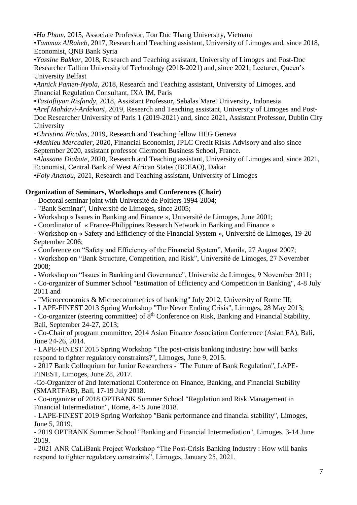•*Ha Pham*, 2015, Associate Professor, Ton Duc Thang University, Vietnam

•*Tammuz AlRaheb*, 2017, Research and Teaching assistant, University of Limoges and, since 2018, Economist, QNB Bank Syria

•*Yassine Bakkar*, 2018, Research and Teaching assistant, University of Limoges and Post-Doc Researcher Tallinn University of Technology (2018-2021) and, since 2021, Lecturer, Queen's University Belfast

•*Annick Pamen-Nyola*, 2018, Research and Teaching assistant, University of Limoges, and Financial Regulation Consultant, IXA IM, Paris

•*Tastaftiyan Risfandy*, 2018, Assistant Professor, Sebalas Maret University, Indonesia

•*Aref Mahdavi-Ardekani,* 2019, Research and Teaching assistant, University of Limoges and Post-

Doc Researcher University of Paris 1 (2019-2021) and, since 2021, Assistant Professor, Dublin City University

•*Christina Nicolas,* 2019, Research and Teaching fellow HEG Geneva

•*Mathieu Mercadier,* 2020, Financial Economist, JPLC Credit Risks Advisory and also since September 2020, assistant professor Clermont Business School, France.

•*Alassane Diabate,* 2020, Research and Teaching assistant, University of Limoges and, since 2021, Economist, Central Bank of West African States (BCEAO), Dakar

•*Foly Ananou*, 2021, Research and Teaching assistant, University of Limoges

# **Organization of Seminars, Workshops and Conferences (Chair)**

- Doctoral seminar joint with Université de Poitiers 1994-2004;

- "Bank Seminar", Université de Limoges, since 2005;

- Workshop « Issues in Banking and Finance », Université de Limoges, June 2001;

- Coordinator of « France-Philippines Research Network in Banking and Finance »

- Workshop on « Safety and Efficiency of the Financial System », Université de Limoges, 19-20 September 2006;

- Conference on "Safety and Efficiency of the Financial System", Manila, 27 August 2007;

- Workshop on "Bank Structure, Competition, and Risk", Université de Limoges, 27 November 2008;

- Workshop on "Issues in Banking and Governance", Université de Limoges, 9 November 2011;

- Co-organizer of Summer School "Estimation of Efficiency and Competition in Banking", 4-8 July 2011 and

- "Microeconomics & Microeconometrics of banking" July 2012, University of Rome III;

- LAPE-FINEST 2013 Spring Workshop "The Never Ending Crisis", Limoges, 28 May 2013;

- Co-organizer (steering committee) of 8<sup>th</sup> Conference on Risk, Banking and Financial Stability, Bali, September 24-27, 2013;

- Co-Chair of program committee, 2014 Asian Finance Association Conference (Asian FA), Bali, June 24-26, 2014.

- LAPE-FINEST 2015 Spring Workshop "The post-crisis banking industry: how will banks respond to tighter regulatory constraints?", Limoges, June 9, 2015.

- 2017 Bank Colloquium for Junior Researchers - "The Future of Bank Regulation", LAPE-FINEST, Limoges, June 28, 2017.

-Co-Organizer of 2nd International Conference on Finance, Banking, and Financial Stability (SMARTFAB), Bali, 17-19 July 2018.

- Co-organizer of 2018 OPTBANK Summer School "Regulation and Risk Management in Financial Intermediation", Rome, 4-15 June 2018.

- LAPE-FINEST 2019 Spring Workshop "Bank performance and financial stability", Limoges, June 5, 2019.

- 2019 OPTBANK Summer School "Banking and Financial Intermediation", Limoges, 3-14 June 2019.

- 2021 ANR CaLiBank Project Workshop "The Post-Crisis Banking Industry : How will banks respond to tighter regulatory constraints", Limoges, January 25, 2021.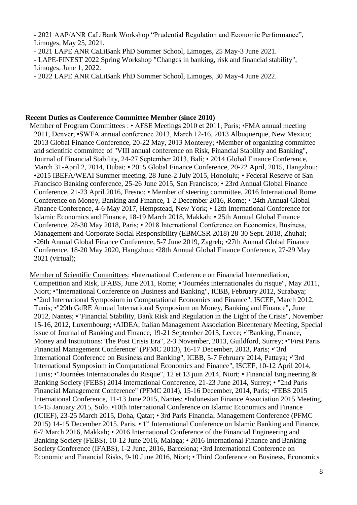- 2021 AAP/ANR CaLiBank Workshop "Prudential Regulation and Economic Performance", Limoges, May 25, 2021.

- 2021 LAPE ANR CaLiBank PhD Summer School, Limoges, 25 May-3 June 2021.

- LAPE-FINEST 2022 Spring Workshop "Changes in banking, risk and financial stability", Limoges, June 1, 2022.

- 2022 LAPE ANR CaLiBank PhD Summer School, Limoges, 30 May-4 June 2022.

#### **Recent Duties as Conference Committee Member (since 2010)**

Member of Program Committees : • AFSE Meetings 2010 et 2011, Paris; •FMA annual meeting 2011, Denver; •SWFA annual conference 2013, March 12-16, 2013 Albuquerque, New Mexico; 2013 Global Finance Conference, 20-22 May, 2013 Monterey; •Member of organizing committee and scientific committee of "VIII annual conference on Risk, Financial Stability and Banking", Journal of Financial Stability, 24-27 September 2013, Bali; • 2014 Global Finance Conference, March 31-April 2, 2014, Dubai; • 2015 Global Finance Conference, 20-22 April, 2015, Hangzhou; •2015 IBEFA/WEAI Summer meeting, 28 June-2 July 2015, Honolulu; • Federal Reserve of San Francisco Banking conference, 25-26 June 2015, San Francisco; • 23rd Annual Global Finance Conference, 21-23 April 2016, Fresno; • Member of steering committee, 2016 International Rome Conference on Money, Banking and Finance, 1-2 December 2016, Rome; • 24th Annual Global Finance Conference, 4-6 May 2017, Hempstead, New York; • 12th International Conference for Islamic Economics and Finance, 18-19 March 2018, Makkah; • 25th Annual Global Finance Conference, 28-30 May 2018, Paris; • 2018 International Conference on Economics, Business, Management and Corporate Social Responsibility (EBMCSR 2018) 28-30 Sept. 2018, Zhuhai; •26th Annual Global Finance Conference, 5-7 June 2019, Zagreb; •27th Annual Global Finance Conference, 18-20 May 2020, Hangzhou; •28th Annual Global Finance Conference, 27-29 May 2021 (virtual);

Member of Scientific Committees: •International Conference on Financial Intermediation, Competition and Risk, IFABS, June 2011, Rome; •"Journées internationales du risque", May 2011, Niort; •"International Conference on Business and Banking", ICBB, February 2012, Surabaya; •"2nd International Symposium in Computational Economics and Finance", ISCEF, March 2012, Tunis; •"29th GdRE Annual International Symposium on Money, Banking and Finance"**,** June 2012, Nantes; •"Financial Stability, Bank Risk and Regulation in the Light of the Crisis", November 15-16, 2012, Luxembourg; •AIDEA, Italian Management Association Bicentenary Meeting, Special issue of Journal of Banking and Finance, 19-21 September 2013, Lecce; •"Banking, Finance, Money and Institutions: The Post Crisis Era", 2-3 November, 2013, Guildford, Surrey; •"First Paris Financial Management Conference" (PFMC 2013), 16-17 December, 2013, Paris; •"3rd International Conference on Business and Banking", ICBB, 5-7 February 2014, Pattaya; •"3rd International Symposium in Computational Economics and Finance", ISCEF, 10-12 April 2014, Tunis; •"Journées Internationales du Risque", 12 et 13 juin 2014, Niort; • Financial Engineering & Banking Society (FEBS) 2014 International Conference, 21-23 June 2014, Surrey; • "2nd Paris Financial Management Conference" (PFMC 2014), 15-16 December, 2014, Paris; •FEBS 2015 International Conference, 11-13 June 2015, Nantes; •Indonesian Finance Association 2015 Meeting, 14-15 January 2015, Solo. •10th International Conference on Islamic Economics and Finance (ICIEF), 23-25 March 2015, Doha, Qatar; • 3rd Paris Financial Management Conference (PFMC 2015) 14-15 December 2015, Paris. • 1<sup>st</sup> International Conference on Islamic Banking and Finance, 6-7 March 2016, Makkah; • 2016 International Conference of the Financial Engineering and Banking Society (FEBS), 10-12 June 2016, Malaga; • 2016 International Finance and Banking Society Conference (IFABS), 1-2 June, 2016, Barcelona; •3rd International Conference on Economic and Financial Risks, 9-10 June 2016, Niort; • Third Conference on Business, Economics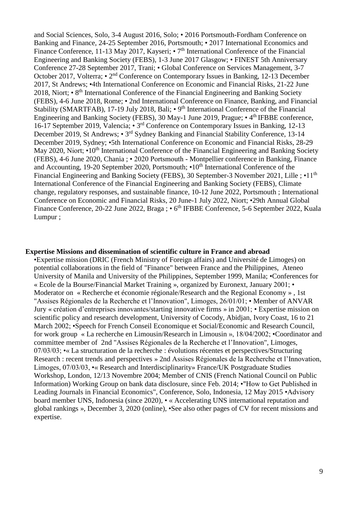and Social Sciences, Solo, 3-4 August 2016, Solo; • 2016 Portsmouth-Fordham Conference on Banking and Finance, 24-25 September 2016, Portsmouth; • 2017 International Economics and Finance Conference, 11-13 May 2017, Kayseri; • 7<sup>th</sup> International Conference of the Financial Engineering and Banking Society (FEBS), 1-3 June 2017 Glasgow; • FINEST 5th Anniversary Conference 27-28 September 2017, Trani; • Global Conference on Services Management, 3-7 October 2017, Volterra; • 2<sup>nd</sup> Conference on Contemporary Issues in Banking, 12-13 December 2017, St Andrews; •4th International Conference on Economic and Financial Risks, 21-22 June 2018, Niort; • 8<sup>th</sup> International Conference of the Financial Engineering and Banking Society (FEBS), 4-6 June 2018, Rome; • 2nd International Conference on Finance, Banking, and Financial Stability (SMARTFAB), 17-19 July 2018, Bali; • 9<sup>th</sup> International Conference of the Financial Engineering and Banking Society (FEBS), 30 May-1 June 2019, Prague; • 4<sup>th</sup> IFBBE conference, 16-17 September 2019, Valencia; • 3<sup>rd</sup> Conference on Contemporary Issues in Banking, 12-13 December 2019, St Andrews; • 3<sup>rd</sup> Sydney Banking and Financial Stability Conference, 13-14 December 2019, Sydney; •5th International Conference on Economic and Financial Risks, 28-29 May 2020, Niort; •10<sup>th</sup> International Conference of the Financial Engineering and Banking Society (FEBS), 4-6 June 2020, Chania ; • 2020 Portsmouth - Montpellier conference in Banking, Finance and Accounting, 19-20 September 2020, Portsmouth;  $\cdot 10^{th}$  International Conference of the Financial Engineering and Banking Society (FEBS), 30 September-3 November 2021, Lille : •11<sup>th</sup> International Conference of the Financial Engineering and Banking Society (FEBS), Climate change, regulatory responses, and sustainable finance, 10-12 June 2022, Portsmouth ; International Conference on Economic and Financial Risks, 20 June-1 July 2022, Niort; •29th Annual Global Finance Conference, 20-22 June 2022, Braga; • 6<sup>th</sup> IFBBE Conference, 5-6 September 2022, Kuala Lumpur ;

### **Expertise Missions and dissemination of scientific culture in France and abroad**

•Expertise mission (DRIC (French Ministry of Foreign affairs) and Université de Limoges) on potential collaborations in the field of "Finance" between France and the Philippines, Ateneo University of Manila and University of the Philippines, September 1999, Manila; •Conferences for « Ecole de la Bourse/Financial Market Training », organized by Euronext, January 2001; • Moderator on « Recherche et économie régionale/Research and the Regional Economy » , 1st "Assises Régionales de la Recherche et l'Innovation", Limoges, 26/01/01; • Member of ANVAR Jury « création d'entreprises innovantes/starting innovative firms » in 2001; • Expertise mission on scientific policy and research development, University of Cocody, Abidjan, Ivory Coast, 16 to 21 March 2002; •Speech for French Conseil Economique et Social/Economic and Research Council, for work group « La recherche en Limousin/Research in Limousin », 18/04/2002; •Coordinator and committee member of 2nd "Assises Régionales de la Recherche et l'Innovation", Limoges, 07/03/03; •« La structuration de la recherche : évolutions récentes et perspectives/Structuring Research : recent trends and perspectives » 2nd Assises Régionales de la Recherche et l'Innovation, Limoges, 07/03/03, •« Research and Interdisciplinarity» France/UK Postgraduate Studies Workshop, London, 12/13 Novembre 2004; Member of CNIS (French National Council on Public Information) Working Group on bank data disclosure, since Feb. 2014; •"How to Get Published in Leading Journals in Financial Economics", Conference, Solo, Indonesia, 12 May 2015 •Advisory board member UNS, Indonesia (since 2020), • « Accelerating UNS international reputation and global rankings », December 3, 2020 (online), •See also other pages of CV for recent missions and expertise.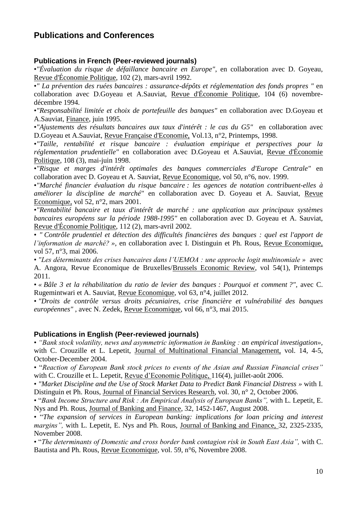# **Publications and Conferences**

### **Publications in French (Peer-reviewed journals)**

•*"Évaluation du risque de défaillance bancaire en Europe"*, en collaboration avec D. Goyeau, Revue d'Économie Politique, 102 (2), mars-avril 1992.

•*" La prévention des ruées bancaires : assurance-dépôts et réglementation des fonds propres "* en collaboration avec D.Goyeau et A.Sauviat, Revue d'Économie Politique, 104 (6) novembredécembre 1994.

•*"Responsabilité limitée et choix de portefeuille des banques"* en collaboration avec D.Goyeau et A.Sauviat, Finance, juin 1995.

•*"Ajustements des résultats bancaires aux taux d'intérêt : le cas du G5"* en collaboration avec D.Goyeau et A.Sauviat, Revue Française d'Economie, Vol.13, n°2, Printemps, 1998.

•*"Taille, rentabilité et risque bancaire : évaluation empirique et perspectives pour la réglementation prudentielle"* en collaboration avec D.Goyeau et A.Sauviat, Revue d'Économie Politique, 108 (3), mai-juin 1998.

•*"Risque et marges d'intérêt optimales des banques commerciales d'Europe Centrale"* en collaboration avec D. Goyeau et A. Sauviat, Revue Economique, vol 50, n°6, nov. 1999.

•*"Marché financier évaluation du risque bancaire : les agences de notation contribuent-elles à améliorer la discipline de marché"* en collaboration avec D. Goyeau et A. Sauviat, Revue Economique, vol 52, n°2, mars 2001.

•*"Rentabilité bancaire et taux d'intérêt de marché : une application aux principaux systèmes bancaires européens sur la période 1988-1995"* en collaboration avec D. Goyeau et A. Sauviat, Revue d'Économie Politique, 112 (2), mars-avril 2002.

• *" Contrôle prudentiel et détection des difficultés financières des banques : quel est l'apport de l'information de marché? »*, en collaboration avec I. Distinguin et Ph. Rous, Revue Economique, vol 57, n°3, mai 2006.

• *"Les déterminants des crises bancaires dans l'UEMOA : une approche logit multinomiale »* avec A. Angora, Revue Economique de Bruxelles/Brussels Economic Review, vol 54(1), Printemps 2011.

• *« Bâle 3 et la réhabilitation du ratio de levier des banques : Pourquoi et comment ?",* avec C. Rugemintwari et A. Sauviat, Revue Economique, vol 63, n°4, juillet 2012.

• *"Droits de contrôle versus droits pécuniaires, crise financière et vulnérabilité des banques européennes"* , avec N. Zedek, Revue Economique, vol 66, n°3, mai 2015.

### **Publications in English (Peer-reviewed journals)**

• *"Bank stock volatility, news and asymmetric information in Banking : an empirical investigation»,* with C. Crouzille et L. Lepetit, Journal of Multinational Financial Management, vol. 14, 4-5, October-December 2004.

• "*Reaction of European Bank stock prices to events of the Asian and Russian Financial crises"*  with C. Crouzille et L. Lepetit, Revue d'Economie Politique, 116(4), juillet-août 2006.

• *"Market Discipline and the Use of Stock Market Data to Predict Bank Financial Distress »* with I. Distinguin et Ph. Rous, Journal of Financial Services Research, vol. 30, n° 2, October 2006.

• "*Bank Income Structure and Risk : An Empirical Analysis of European Banks",* with L. Lepetit, E. Nys and Ph. Rous, Journal of Banking and Finance, 32, 1452-1467, August 2008.

• "*The expansion of services in European banking: implications for loan pricing and interest margins",* with L. Lepetit, E. Nys and Ph. Rous, Journal of Banking and Finance, 32, 2325-2335, November 2008.

• "*The determinants of Domestic and cross border bank contagion risk in South East Asia",* with C. Bautista and Ph. Rous, Revue Economique, vol. 59, n°6, Novembre 2008.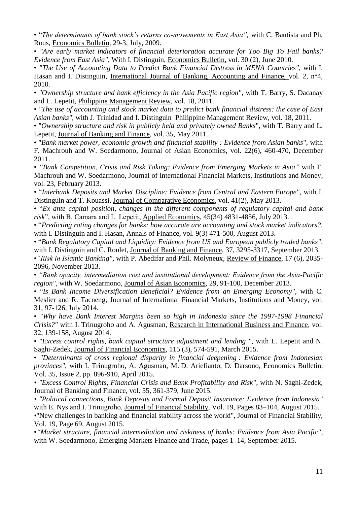• "*The determinants of bank stock's returns co-movements in East Asia",* with C. Bautista and Ph. Rous, Economics Bulletin, 29-3, July, 2009.

• *"Are early market indicators of financial deterioration accurate for Too Big To Fail banks? Evidence from East Asia"*, With I. Distinguin, Economics Bulletin, vol. 30 (2), June 2010.

• *"The Use of Accounting Data to Predict Bank Financial Distress in MENA Countries"*, with I. Hasan and I. Distinguin, International Journal of Banking, Accounting and Finance, vol. 2, n°4, 2010.

• *"Ownership structure and bank efficiency in the Asia Pacific region"*, with T. Barry, S. Dacanay and L. Lepetit, Philippine Management Review, vol. 18, 2011.

• *"The use of accounting and stock market data to predict bank financial distress: the case of East Asian banks"*, with J. Trinidad and I. Distinguin Philippine Management Review, vol. 18, 2011.

• "*Ownership structure and risk in publicly held and privately owned Banks*", with T. Barry and L. Lepetit, Journal of Banking and Finance, vol. 35, May 2011.

• "*Bank market power, economic growth and financial stability : Evidence from Asian banks*", with F. Machrouh and W. Soedarmono, Journal of Asian Economics, vol. 22(6), 460-470, December 2011.

• *"Bank Competition, Crisis and Risk Taking: Evidence from Emerging Markets in Asia"* with F. Machrouh and W. Soedarmono, Journal of International Financial Markets, Institutions and Money, vol. 23, February 2013.

• "*Interbank Deposits and Market Discipline: Evidence from Central and Eastern Europe",* with I. Distinguin and T. Kouassi, Journal of Comparative Economics, vol. 41(2), May 2013.

• "*Ex ante capital position, changes in the different components of regulatory capital and bank risk*", with B. Camara and L. Lepetit, Applied Economics, 45(34) 4831-4856, July 2013.

• "*Predicting rating changes for banks: how accurate are accounting and stock market indicators?,* with I. Distinguin and I. Hasan, Annals of Finance, vol. 9(3) 471-500, August 2013.

• "*Bank Regulatory Capital and Liquidity: Evidence from US and European publicly traded banks"*, with I. Distinguin and C. Roulet, Journal of Banking and Finance, 37, 3295-3317, September 2013.

•*"Risk in Islamic Banking",* with P. Abedifar and Phil. Molyneux, Review of Finance, 17 (6), 2035- 2096, November 2013.

• *"Bank opacity, intermediation cost and institutional development: Evidence from the Asia-Pacific region"*, with W. Soedarmono, Journal of Asian Economics, 29, 91-100, December 2013.

• "*Is Bank Income Diversification Beneficial? Evidence from an Emerging Economy",* with C. Meslier and R. Tacneng, Journal of International Financial Markets, Institutions and Money, vol. 31, 97-126, July 2014.

• *"Why have Bank Interest Margins been so high in Indonesia since the 1997-1998 Financial Crisis?"* with I. Trinugroho and A. Agusman, Research in International Business and Finance, vol. 32, 139-158, August 2014.

• *"Excess control rights, bank capital structure adjustment and lending ",* with L. Lepetit and N. Saghi-Zedek, Journal of Financial Economics, 115 (3), 574-591, March 2015.

• *"Determinants of cross regional disparity in financial deepening : Evidence from Indonesian provinces"*, with I. Trinugroho, A. Agusman, M. D. Ariefianto, D. Darsono, Economics Bulletin, Vol. 35, Issue 2, pp. 896-910, April 2015.

*• "Excess Control Rights, Financial Crisis and Bank Profitability and Risk"*, with N. Saghi-Zedek, Journal of Banking and Finance, vol. 55, 361-379, June 2015.

*• "Political connections, Bank Deposits and Formal Deposit Insurance: Evidence from Indonesia"* with E. Nys and I. Trinugroho, Journal of Financial Stability, Vol. 19, Pages 83–104, August 2015. *•*"New challenges in banking and financial stability across the world", Journal of Financial Stability, Vol. 19, Page 69, August 2015.

•*"Market structure, financial intermediation and riskiness of banks: Evidence from Asia Pacific"*, with W. Soedarmono, Emerging Markets Finance and Trade, pages 1–14, September 2015.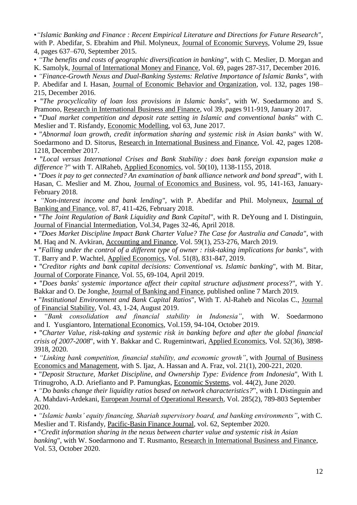•*"Islamic Banking and Finance : Recent Empirical Literature and Directions for Future Research"*, with P. Abedifar, S. Ebrahim and Phil. Molyneux, Journal of Economic Surveys, Volume 29, Issue 4, pages 637–670, September 2015.

• *"The benefits and costs of geographic diversification in banking",* with C. Meslier, D. Morgan and K. Samolyk, Journal of International Money and Finance, Vol. 69, pages 287-317, December 2016.

• *"Finance-Growth Nexus and Dual-Banking Systems: Relative Importance of Islamic Banks"*, with

P. Abedifar and I. Hasan, Journal of Economic Behavior and Organization, vol. 132, pages 198– 215, December 2016.

• "*The procyclicality of loan loss provisions in Islamic banks*", with W. Soedarmono and S. Pramono, Research in International Business and Finance, vol 39, pages 911-919, January 2017.

• "*Dual market competition and deposit rate setting in Islamic and conventional banks*" with C. Meslier and T. Risfandy, Economic Modelling, vol 63, June 2017.

• "*Abnormal loan growth, credit information sharing and systemic risk in Asian banks*" with W. Soedarmono and D. Sitorus, Research in International Business and Finance, Vol. 42, pages 1208- 1218, December 2017.

• "*Local versus International Crises and Bank Stability : does bank foreign expansion make a difference* ?" with T. AlRaheb, Applied Economics, vol. 50(10), 1138-1155, 2018.

• *"Does it pay to get connected? An examination of bank alliance network and bond spread"*, with I. Hasan, C. Meslier and M. Zhou, Journal of Economics and Business, vol. 95, 141-163, January-February 2018.

• *"Non-interest income and bank lending",* with P. Abedifar and Phil. Molyneux, Journal of Banking and Finance, vol. 87, 411-426, February 2018.

• "*The Joint Regulation of Bank Liquidity and Bank Capital*", with R. DeYoung and I. Distinguin, Journal of Financial Intermediation, Vol.34, Pages 32-46, April 2018.

• *"Does Market Discipline Impact Bank Charter Value? The Case for Australia and Canada"*, with M. Haq and N. Avkiran, Accounting and Finance, Vol. 59(1), 253-276, March 2019.

• "*Falling under the control of a different type of owner : risk-taking implications for banks",* with T. Barry and P. Wachtel, Applied Economics, Vol. 51(8), 831-847, 2019.

• "*Creditor rights and bank capital decisions: Conventional vs. Islamic banking*", with M. Bitar, Journal of Corporate Finance, Vol. 55, 69-104, April 2019.

• "*Does banks' systemic importance affect their capital structure adjustment process*?", with Y. Bakkar and O. De Jonghe, Journal of Banking and Finance, published online 7 March 2019.

• "*Institutional Environment and Bank Capital Ratios*", With T. Al-Raheb and Nicolas C., Journal of Financial Stability, Vol. 43, 1-24, August 2019.

• *"Bank consolidation and financial stability in Indonesia"*, with W. Soedarmono and I. Yusgiantoro, International Economics, Vol.159, 94-104, October 2019.

• "*Charter Value, risk-taking and systemic risk in banking before and after the global financial crisis of 2007-2008*", with Y. Bakkar and C. Rugemintwari, Applied Economics, Vol. 52(36), 3898- 3918, 2020.

*• "Linking bank competition, financial stability, and economic growth"*, with Journal of Business Economics and Management, with S. Ijaz, A. Hassan and A. Fraz, vol. 21(1), 200-221, 2020.

• "*Deposit Structure, Market Discipline, and Ownership Type: Evidence from Indonesia*", With I. Trinugroho, A.D. Ariefianto and P. Pamungkas, Economic Systems, vol. 44(2), June 2020.

• *"Do banks change their liquidity ratios based on network characteristics?*", with I. Distinguin and

A. Mahdavi-Ardekani, European Journal of Operational Research, Vol. 285(2), 789-803 September 2020.

• *"Islamic banks' equity financing, Shariah supervisory board, and banking environments"*, with C. Meslier and T. Risfandy, Pacific-Basin Finance Journal, vol. 62, September 2020.

• "*Credit information sharing in the nexus between charter value and systemic risk in Asian* 

*banking*", with W. Soedarmono and T. Rusmanto, Research in International Business and Finance, Vol. 53, October 2020.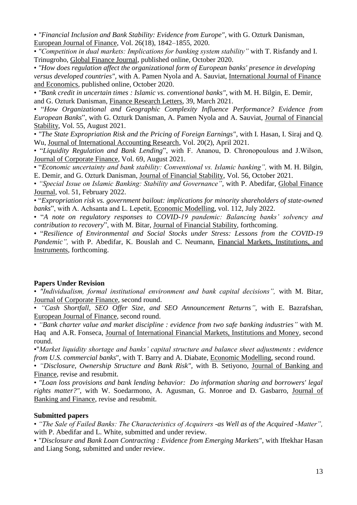• *"Financial Inclusion and Bank Stability: Evidence from Europe"*, with G. Ozturk Danisman, European Journal of Finance, Vol. 26(18), 1842–1855, 2020.

• *"Competition in dual markets: Implications for banking system stability"* with T. Risfandy and I. Trinugroho, Global Finance Journal, published online, October 2020.

• *"How does regulation affect the organizational form of European banks' presence in developing versus developed countries"*, with A. Pamen Nyola and A. Sauviat, International Journal of Finance and Economics, published online, October 2020.

• *"Bank credit in uncertain times : Islamic vs. conventional banks"*, with M. H. Bilgin, E. Demir, and G. Ozturk Danisman, Finance Research Letters, 39, March 2021.

• "*How Organizational and Geographic Complexity Influence Performance? Evidence from European Banks*", with G. Ozturk Danisman, A. Pamen Nyola and A. Sauviat, Journal of Financial Stability, Vol. 55, August 2021.

• *"The State Expropriation Risk and the Pricing of Foreign Earnings"*, with I. Hasan, I. Siraj and Q. Wu, Journal of International Accounting Research, Vol. 20(2), April 2021.

• "*Liquidity Regulation and Bank Lending*", with F. Ananou, D. Chronopoulous and J.Wilson, Journal of Corporate Finance, Vol. 69, August 2021.

• "*Economic uncertainty and bank stability: Conventional vs. Islamic banking",* with M. H. Bilgin, E. Demir, and G. Ozturk Danisman, Journal of Financial Stability, Vol. 56, October 2021.

• *"Special Issue on Islamic Banking: Stability and Governance"*, with P. Abedifar, Global Finance Journal, vol. 51, February 2022.

• "*Expropriation risk vs. government bailout: implications for minority shareholders of state-owned banks*", with A. Achsanta and L. Lepetit, Economic Modelling, vol. 112, July 2022.

• "*A note on regulatory responses to COVID-19 pandemic: Balancing banks' solvency and contribution to recovery*", with M. Bitar, Journal of Financial Stability, forthcoming.

• "*Resilience of Environmental and Social Stocks under Stress: Lessons from the COVID-19 Pandemic"*, with P. Abedifar, K. Bouslah and C. Neumann, Financial Markets, Institutions, and Instruments, forthcoming.

#### **Papers Under Revision**

• *"Individualism, formal institutional environment and bank capital decisions",* with M. Bitar, Journal of Corporate Finance, second round.

• *"Cash Shortfall, SEO Offer Size, and SEO Announcement Returns"*, with E. Bazrafshan, European Journal of Finance, second round.

• *"Bank charter value and market discipline : evidence from two safe banking industries"* with M. Haq and A.R. Fonseca, Journal of International Financial Markets, Institutions and Money, second round.

•"*Market liquidity shortage and banks' capital structure and balance sheet adjustments : evidence from U.S. commercial banks*", with T. Barry and A. Diabate, Economic Modelling, second round.

• *"Disclosure, Ownership Structure and Bank Risk",* with B. Setiyono, Journal of Banking and Finance, revise and resubmit.

• *"Loan loss provisions and bank lending behavior: Do information sharing and borrowers' legal rights matter?"*, with W. Soedarmono, A. Agusman, G. Monroe and D. Gasbarro, Journal of Banking and Finance, revise and resubmit.

#### **Submitted papers**

• *"The Sale of Failed Banks: The Characteristics of Acquirers -as Well as of the Acquired -Matter",*  with P. Abedifar and L. White, submitted and under review.

• *"Disclosure and Bank Loan Contracting : Evidence from Emerging Markets"*, with Iftekhar Hasan and Liang Song, submitted and under review.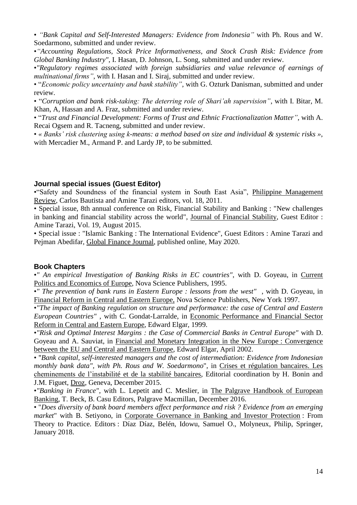• *"Bank Capital and Self-Interested Managers: Evidence from Indonesia"* with Ph. Rous and W. Soedarmono, submitted and under review.

•*"Accounting Regulations, Stock Price Informativeness, and Stock Crash Risk: Evidence from Global Banking Industry"*, I. Hasan, D. Johnson, L. Song, submitted and under review.

•*"Regulatory regimes associated with foreign subsidiaries and value relevance of earnings of multinational firms"*, with I. Hasan and I. Siraj, submitted and under review.

• "*Economic policy uncertainty and bank stability"*, with G. Ozturk Danisman, submitted and under review.

• "*Corruption and bank risk-taking: The deterring role of Shari'ah supervision"*, with I. Bitar, M. Khan, A, Hassan and A. Fraz, submitted and under review.

• "*Trust and Financial Development: Forms of Trust and Ethnic Fractionalization Matter"*, with A. Recai Ogsem and R. Tacneng, submitted and under review.

• *« Banks' risk clustering using k-means: a method based on size and individual & systemic risks »*, with Mercadier M., Armand P. and Lardy JP, to be submitted.

#### **Journal special issues (Guest Editor)**

•"Safety and Soundness of the financial system in South East Asia", Philippine Management Review, Carlos Bautista and Amine Tarazi editors, vol. 18, 2011.

• Special issue, 8th annual conference on Risk, Financial Stability and Banking : "New challenges in banking and financial stability across the world", Journal of Financial Stability, Guest Editor : Amine Tarazi, Vol. 19, August 2015.

• Special issue : "Islamic Banking : The International Evidence", Guest Editors : Amine Tarazi and Pejman Abedifar, Global Finance Journal, published online, May 2020.

### **Book Chapters**

•*" An empirical Investigation of Banking Risks in EC countries"*, with D. Goyeau, in Current Politics and Economics of Europe, Nova Science Publishers, 1995.

•*" The prevention of bank runs in Eastern Europe : lessons from the west"* , with D. Goyeau, in Financial Reform in Central and Eastern Europe, Nova Science Publishers, New York 1997.

•*"The impact of Banking regulation on structure and performance: the case of Central and Eastern European Countries"* , with C. Gondat-Larralde, in Economic Performance and Financial Sector Reform in Central and Eastern Europe, Edward Elgar, 1999.

•*"Risk and Optimal Interest Margins : the Case of Commercial Banks in Central Europe"* with D. Goyeau and A. Sauviat, in Financial and Monetary Integration in the New Europe : Convergence between the EU and Central and Eastern Europe, Edward Elgar, April 2002.

• "*Bank capital, self-interested managers and the cost of intermediation: Evidence from Indonesian monthly bank data", with Ph. Rous and W. Soedarmono*", in Crises et régulation bancaires. Les cheminements de l'instabilité et de la stabilité bancaires, Editorial coordination by H. Bonin and J.M. Figuet, Droz, Geneva, December 2015.

•*"Banking in France"*, with L. Lepetit and C. Meslier, in The Palgrave Handbook of European Banking, T. Beck, B. Casu Editors, Palgrave Macmillan, December 2016.

• "*Does diversity of bank board members affect performance and risk ? Evidence from an emerging market*" with B. Setiyono, in Corporate Governance in Banking and Investor Protection : From Theory to Practice. Editors : Díaz Díaz, Belén, Idowu, Samuel O., Molyneux, Philip, Springer, January 2018.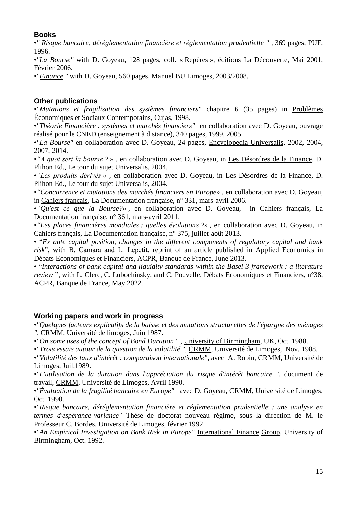# **Books**

•*" Risque bancaire, déréglementation financière et réglementation prudentielle "* , 369 pages, PUF, 1996.

•*"La Bourse"* with D. Goyeau, 128 pages, coll. « Repères », éditions La Découverte, Mai 2001, Février 2006.

•*"Finance "* with D. Goyeau, 560 pages, Manuel BU Limoges, 2003/2008.

# **Other publications**

•*"Mutations et fragilisation des systèmes financiers"* chapitre 6 (35 pages) in Problèmes Économiques et Sociaux Contemporains, Cujas, 1998.

•*"Théorie Financière : systèmes et marchés financiers"* en collaboration avec D. Goyeau, ouvrage réalisé pour le CNED (enseignement à distance), 340 pages, 1999, 2005.

•*"La Bourse"* en collaboration avec D. Goyeau, 24 pages, Encyclopedia Universalis, 2002, 2004, 2007, 2014.

•*"A quoi sert la bourse ? » ,* en collaboration avec D. Goyeau, in Les Désordres de la Finance, D. Plihon Ed., Le tour du sujet Universalis, 2004.

•*"Les produits dérivés » ,* en collaboration avec D. Goyeau, in Les Désordres de la Finance, D. Plihon Ed., Le tour du sujet Universalis, 2004.

•*"Concurrence et mutations des marchés financiers en Europe»* , en collaboration avec D. Goyeau, in Cahiers français, La Documentation française, n° 331, mars-avril 2006.

•*"Qu'est ce que la Bourse?»* , en collaboration avec D. Goyeau, in Cahiers français, La Documentation française, n° 361, mars-avril 2011.

•*"Les places financières mondiales : quelles évolutions ?»* , en collaboration avec D. Goyeau, in Cahiers français, La Documentation française, n° 375, juillet-août 2013.

• "*Ex ante capital position, changes in the different components of regulatory capital and bank risk*", with B. Camara and L. Lepetit, reprint of an article published in Applied Economics in Débats Economiques et Financiers, ACPR, Banque de France, June 2013.

• "*Interactions of bank capital and liquidity standards within the Basel 3 framework : a literature review* ", with L. Clerc, C. Lubochinsky, and C. Pouvelle, Débats Economiques et Financiers, n°38, ACPR, Banque de France, May 2022.

# **Working papers and work in progress**

•*"Quelques facteurs explicatifs de la baisse et des mutations structurelles de l'épargne des ménages "*, CRMM, Université de limoges, Juin 1987.

•*"On some uses of the concept of Bond Duration "* , University of Birmingham, UK, Oct. 1988.

•*"Trois essais autour de la question de la volatilité "*, CRMM, Université de Limoges, Nov. 1988.

•*"Volatilité des taux d'intérêt : comparaison internationale"*, avec A. Robin, CRMM, Université de Limoges, Juil.1989.

•*"L'utilisation de la duration dans l'appréciation du risque d'intérêt bancaire "*, document de travail, CRMM, Université de Limoges, Avril 1990.

•*"Évaluation de la fragilité bancaire en Europe"* avec D. Goyeau, CRMM, Université de Limoges, Oct. 1990.

•*"Risque bancaire, déréglementation financière et réglementation prudentielle : une analyse en termes d'espérance-variance"* Thèse de doctorat nouveau régime, sous la direction de M. le Professeur C. Bordes, Université de Limoges, février 1992.

•*"An Empirical Investigation on Bank Risk in Europe"* International Finance Group, University of Birmingham, Oct. 1992.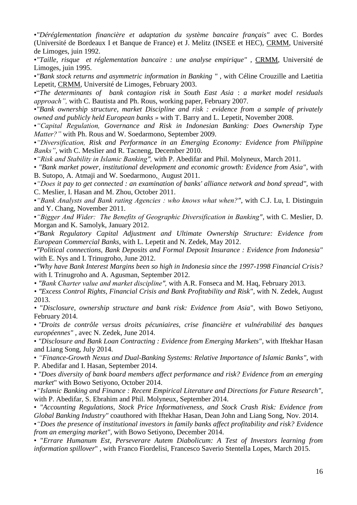•*"Déréglementation financière et adaptation du système bancaire français"* avec C. Bordes (Université de Bordeaux I et Banque de France) et J. Melitz (INSEE et HEC), CRMM, Université de Limoges, juin 1992.

•*"Taille, risque et réglementation bancaire : une analyse empirique"* , CRMM, Université de Limoges, juin 1995.

•*"Bank stock returns and asymmetric information in Banking "* , with Céline Crouzille and Laetitia Lepetit, CRMM, Université de Limoges, February 2003.

•"*The determinants of bank contagion risk in South East Asia* : *a market model residuals approach",* with C. Bautista and Ph. Rous, working paper, February 2007.

•*"Bank ownership structure, market Discipline and risk : evidence from a sample of privately owned and publicly held European banks »* with T. Barry and L. Lepetit, November 2008.

•*"Capital Regulation, Governance and Risk in Indonesian Banking: Does Ownership Type Matter?"* with Ph. Rous and W. Soedarmono, September 2009.

•*"Diversification, Risk and Performance in an Emerging Economy: Evidence from Philippine Banks"*, with C. Meslier and R. Tacneng, December 2010.

•*"Risk and Stability in Islamic Banking",* with P. Abedifar and Phil. Molyneux, March 2011.

• *"Bank market power, institutional development and economic growth: Evidence from Asia"*, with B. Sutopo, A. Atmaji and W. Soedarmono, August 2011.

•*"Does it pay to get connected : an examination of banks' alliance network and bond spread",* with C. Meslier, I. Hasan and M. Zhou, October 2011.

•*"Bank Analysts and Bank rating Agencies : who knows what when?"*, with C.J. Lu, I. Distinguin and Y. Chang, November 2011.

•*"Bigger And Wider: The Benefits of Geographic Diversification in Banking"*, with C. Meslier, D. Morgan and K. Samolyk, January 2012.

*•"Bank Regulatory Capital Adjustment and Ultimate Ownership Structure: Evidence from European Commercial Banks,* with L. Lepetit and N. Zedek, May 2012.

*•"Political connections, Bank Deposits and Formal Deposit Insurance : Evidence from Indonesia"* with E. Nys and I. Trinugroho, June 2012.

*•"Why have Bank Interest Margins been so high in Indonesia since the 1997-1998 Financial Crisis?*  with I. Trinugroho and A. Agusman, September 2012.

*• "Bank Charter value and market discipline",* with A.R. Fonseca and M. Haq, February 2013.

*• "Excess Control Rights, Financial Crisis and Bank Profitability and Risk"*, with N. Zedek, August 2013.

*•* "*Disclosure, ownership structure and bank risk: Evidence from Asia*", with Bowo Setiyono, February 2014.

• *"Droits de contrôle versus droits pécuniaires, crise financière et vulnérabilité des banques européennes"* , avec N. Zedek, June 2014.

• *"Disclosure and Bank Loan Contracting : Evidence from Emerging Markets"*, with Iftekhar Hasan and Liang Song, July 2014.

• *"Finance-Growth Nexus and Dual-Banking Systems: Relative Importance of Islamic Banks"*, with P. Abedifar and I. Hasan, September 2014.

• *"Does diversity of bank board members affect performance and risk? Evidence from an emerging market*" with Bowo Setiyono, October 2014.

•*"Islamic Banking and Finance : Recent Empirical Literature and Directions for Future Research"*, with P. Abedifar, S. Ebrahim and Phil. Molyneux, September 2014.

• *"Accounting Regulations, Stock Price Informativeness, and Stock Crash Risk: Evidence from Global Banking Industry"* coauthored with Iftekhar Hasan, Dean John and Liang Song, Nov. 2014.

•*"Does the presence of institutional investors in family banks affect profitability and risk? Evidence from an emerging market",* with Bowo Setiyono, December 2014.

• "*Errare Humanum Est, Perseverare Autem Diabolicum: A Test of Investors learning from information spillover*" , with Franco Fiordelisi, Francesco Saverio Stentella Lopes, March 2015.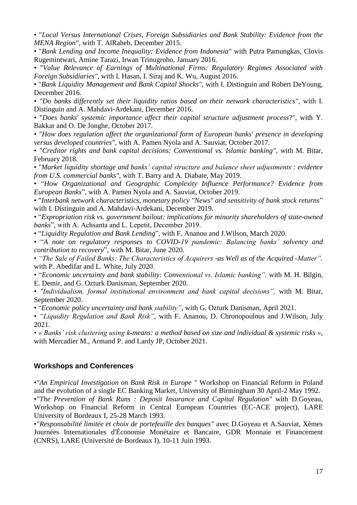• "*Local Versus International Crises, Foreign Subsidiaries and Bank Stability: Evidence from the MENA Region"*, with T. AlRaheb, December 2015.

• "*Bank Lending and Income Inequality: Evidence from Indonesia*" with Putra Pamungkas, Clovis Rugemintwari, Amine Tarazi, Irwan Trinugroho, January 2016.

• "*Value Relevance of Earnings of Multinational Firms: Regulatory Regimes Associated with Foreign Subsidiaries"*, with I. Hasan, I. Siraj and K. Wu, August 2016.

• "*Bank Liquidity Management and Bank Capital Shocks",* with I. Distinguin and Robert DeYoung, December 2016.

• *"Do banks differently set their liquidity ratios based on their network characteristics",* with I. Distinguin and A. Mahdavi-Ardekani, December 2016.

• "*Does banks' systemic importance affect their capital structure adjustment process*?", with Y. Bakkar and O. De Jonghe, October 2017.

• *"How does regulation affect the organizational form of European banks' presence in developing versus developed countries"*, with A. Pamen Nyola and A. Sauviat, October 2017.

• *"Creditor rights and bank capital decisions: Conventional vs. Islamic banking"*, with M. Bitar, February 2018.

• "*Market liquidity shortage and banks' capital structure and balance sheet adjustments : evidence from U.S. commercial banks"*, with T. Barry and A. Diabate, May 2019.

• "*How Organizational and Geographic Complexity Influence Performance? Evidence from European Banks*", with A. Pamen Nyola and A. Sauviat, October 2019.

• "*Interbank network characteristics, monetary policy "News" and sensitivity of bank stock returns*" with I. Distinguin and A. Mahdavi-Ardekani, December 2019.

• "*Expropriation risk vs. government bailout: implications for minority shareholders of state-owned banks*", with A. Achsanta and L. Lepetit, December 2019.

• "*Liquidity Regulation and Bank Lending*", with F. Ananou and J.Wilson, March 2020.

• "*A note on regulatory responses to COVID-19 pandemic: Balancing banks' solvency and contribution to recovery*", with M. Bitar, June 2020.

• *"The Sale of Failed Banks: The Characteristics of Acquirers -as Well as of the Acquired -Matter",*  with P. Abedifar and L. White, July 2020.

• "*Economic uncertainty and bank stability: Conventional vs. Islamic banking",* with M. H. Bilgin, E. Demir, and G. Ozturk Danisman, September 2020.

• *"Individualism, formal institutional environment and bank capital decisions",* with M. Bitar, September 2020.

• "*Economic policy uncertainty and bank stability"*, with G. Ozturk Danisman, April 2021.

• *"Liquidity Regulation and Bank Risk"*, with F. Ananou, D. Chronopoulous and J.Wilson, July 2021.

• *« Banks' risk clustering using k-means: a method based on size and individual & systemic risks »*, with Mercadier M., Armand P. and Lardy JP, October 2021.

#### **Workshops and Conferences**

•*"An Empirical Investigation on Bank Risk in Europe "* Workshop on Financial Reform in Poland and the evolution of a single EC Banking Market, University of Birmingham 30 April-2 May 1992.

•*"The Prevention of Bank Runs : Deposit Insurance and Capital Regulation"* with D.Goyeau, Workshop on Financial Reform in Central European Countries (EC-ACE project), LARE University of Bordeaux I, 25-28 March 1993.

•*"Responsabilité limitée et choix de portefeuille des banques"* avec D.Goyeau et A.Sauviat, Xèmes Journées Internationales d'Économie Monétaire et Bancaire, GDR Monnaie et Financement (CNRS), LARE (Université de Bordeaux I), 10-11 Juin 1993.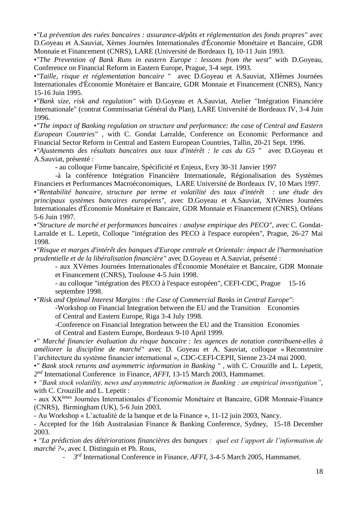•*"La prévention des ruées bancaires : assurance-dépôts et réglementation des fonds propres"* avec D.Goyeau et A.Sauviat, Xèmes Journées Internationales d'Économie Monétaire et Bancaire, GDR Monnaie et Financement (CNRS), LARE (Université de Bordeaux I), 10-11 Juin 1993.

•*"The Prevention of Bank Runs in eastern Europe : lessons from the west"* with D.Goyeau, Conference on Financial Reform in Eastern Europe, Prague, 3-4 sept. 1993.

•*"Taille, risque et réglementation bancaire "* avec D.Goyeau et A.Sauviat, XIIèmes Journées Internationales d'Économie Monétaire et Bancaire, GDR Monnaie et Financement (CNRS), Nancy 15-16 Juin 1995.

•*"Bank size, risk and regulation"* with D.Goyeau et A.Sauviat, Atelier "Intégration Financière Internationale" (contrat Commissariat Général du Plan), LARE Université de Bordeaux IV, 3-4 Juin 1996.

•*"The impact of Banking regulation on structure and performance: the case of Central and Eastern European Countries"* , with C. Gondat Larralde, Conference on Economic Performance and Financial Sector Reform in Central and Eastern European Countries, Tallin, 20-21 Sept. 1996.

•*"Ajustements des résultats bancaires aux taux d'intérêt : le cas du G5 "* avec D.Goyeau et A.Sauviat, présenté :

- au colloque Firme bancaire, Spécificité et Enjeux, Evry 30-31 Janvier 1997

-à la conférence Intégration Financière Internationale, Régionalisation des Systèmes Financiers et Performances Macroéconomiques, LARE Université de Bordeaux IV, 10 Mars 1997.

•*"Rentabilité bancaire, structure par terme et volatilité des taux d'intérêt : une étude des principaux systèmes bancaires européens",* avec D.Goyeau et A.Sauviat, XIVèmes Journées Internationales d'Économie Monétaire et Bancaire, GDR Monnaie et Financement (CNRS), Orléans 5-6 Juin 1997.

•*"Structure de marché et performances bancaires : analyse empirique des PECO",* avec C. Gondat-Larralde et L. Lepetit, Colloque "intégration des PECO à l'espace européen", Prague, 26-27 Mai 1998.

•*"Risque et marges d'intérêt des banques d'Europe centrale et Orientale: impact de l'harmonisation prudentielle et de la libéralisation financière"* avec D.Goyeau et A.Sauviat, présenté :

- aux XVèmes Journées Internationales d'Économie Monétaire et Bancaire, GDR Monnaie et Financement (CNRS), Toulouse 4-5 Juin 1998.

- au colloque "intégration des PECO à l'espace européen", CEFI-CDC, Prague 15-16 septembre 1998.

•*"Risk and Optimal Interest Margins : the Case of Commercial Banks in Central Europe"*:

-Workshop on Financial Integration between the EU and the Transition Economies of Central and Eastern Europe, Riga 3-4 July 1998.

-Conference on Financial Integration between the EU and the Transition Economies of Central and Eastern Europe, Bordeaux 9-10 April 1999.

•*" Marché financier évaluation du risque bancaire : les agences de notation contribuent-elles à améliorer la discipline de marché"* avec D. Goyeau et A. Sauviat, colloque « Reconstruire l'architecture du système financier international », CDC-CEFI-CEPII, Sienne 23-24 mai 2000.

•*" Bank stock returns and asymmetric information in Banking "* , with C. Crouzille and L. Lepetit, *2 nd* International Conference in Finance*, AFFI,* 13-15 March 2003, Hammamet.

• *"Bank stock volatility, news and asymmetric information in Banking : an empirical investigation"*, with C. Crouzille and L. Lepetit :

- aux XXèmes Journées Internationales d'Economie Monétaire et Bancaire, GDR Monnaie-Finance (CNRS), Birmingham (UK), 5-6 Juin 2003.

- Au Workshop « L'actualité de la banque et de la Finance »*,* 11-12 juin 2003, Nancy.

- Accepted for the 16th Australasian Finance & Banking Conference, Sydney, 15-18 December 2003.

• *"La prédiction des détériorations financières des banques : quel est l'apport de l'information de marché ?»*, avec I. Distinguin et Ph. Rous,

- *3 rd* International Conference in Finance*, AFFI,* 3-4-5 March 2005, Hammamet.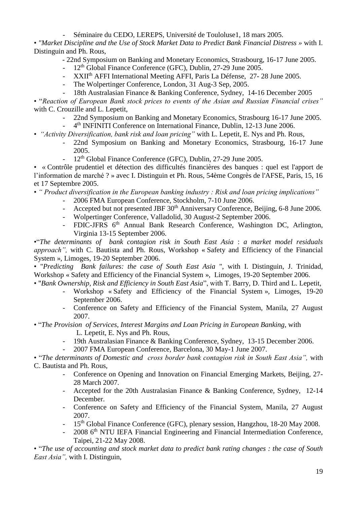- Séminaire du CEDO, LEREPS, Université de Touloluse1, 18 mars 2005*.*

• *"Market Discipline and the Use of Stock Market Data to Predict Bank Financial Distress »* with I. Distinguin and Ph. Rous,

- 22nd Symposium on Banking and Monetary Economics, Strasbourg, 16-17 June 2005.

- $12<sup>th</sup>$  Global Finance Conference (GFC), Dublin, 27-29 June 2005.
- XXIIth AFFI International Meeting AFFI, Paris La Défense, 27- 28 June 2005.
- The Wolpertinger Conference, London, 31 Aug-3 Sep, 2005.
- 18th Australasian Finance & Banking Conference, Sydney, 14-16 December 2005

• "*Reaction of European Bank stock prices to events of the Asian and Russian Financial crises"*  with C. Crouzille and L. Lepetit,

- 22nd Symposium on Banking and Monetary Economics, Strasbourg 16-17 June 2005. - 4<sup>th</sup> INFINITI Conference on International Finance, Dublin, 12-13 June 2006.
- *"Activity Diversification, bank risk and loan pricing"* with L. Lepetit, E. Nys and Ph. Rous,
	- 22nd Symposium on Banking and Monetary Economics, Strasbourg, 16-17 June 2005.
	- 12<sup>th</sup> Global Finance Conference (GFC), Dublin, 27-29 June 2005.

• « Contrôle prudentiel et détection des difficultés financières des banques : quel est l'apport de l'information de marché ? » avec I. Distinguin et Ph. Rous, 54ème Congrès de l'AFSE, Paris, 15, 16 et 17 Septembre 2005.

• *" Product diversification in the European banking industry : Risk and loan pricing implications"*

- 2006 FMA European Conference, Stockholm, 7-10 June 2006.
- Accepted but not presented JBF 30<sup>th</sup> Anniversary Conference, Beijing, 6-8 June 2006.
- Wolpertinger Conference, Valladolid, 30 August-2 September 2006.
- FDIC-JFRS 6<sup>th</sup> Annual Bank Research Conference, Washington DC, Arlington, Virginia 13-15 September 2006.

•"*The determinants of bank contagion risk in South East Asia* : *a market model residuals approach",* with C. Bautista and Ph. Rous, Workshop « Safety and Efficiency of the Financial System », Limoges, 19-20 September 2006.

• "*Predicting Bank failures: the case of South East Asia* ", with I. Distinguin, J. Trinidad, Workshop « Safety and Efficiency of the Financial System », Limoges, 19-20 September 2006.

- "*Bank Ownership, Risk and Efficiency in South East Asia*", with T. Barry, D. Third and L. Lepetit,
	- Workshop « Safety and Efficiency of the Financial System », Limoges, 19-20 September 2006.
	- Conference on Safety and Efficiency of the Financial System, Manila, 27 August 2007.

• "*The Provision of Services, Interest Margins and Loan Pricing in European Banking,* with

L. Lepetit, E. Nys and Ph. Rous,

- 19th Australasian Finance & Banking Conference, Sydney, 13-15 December 2006.
- 2007 FMA European Conference, Barcelona, 30 May-1 June 2007.

• "*The determinants of Domestic and cross border bank contagion risk in South East Asia",* with C. Bautista and Ph. Rous,

- Conference on Opening and Innovation on Financial Emerging Markets, Beijing, 27- 28 March 2007.
- Accepted for the 20th Australasian Finance & Banking Conference, Sydney, 12-14 December.
- Conference on Safety and Efficiency of the Financial System, Manila, 27 August 2007.
- 15<sup>th</sup> Global Finance Conference (GFC), plenary session, Hangzhou, 18-20 May 2008.
- 2008 6<sup>th</sup> NTU IEFA Financial Engineering and Financial Intermediation Conference, Taipei, 21-22 May 2008.

• "*The use of accounting and stock market data to predict bank rating changes : the case of South East Asia",* with I. Distinguin,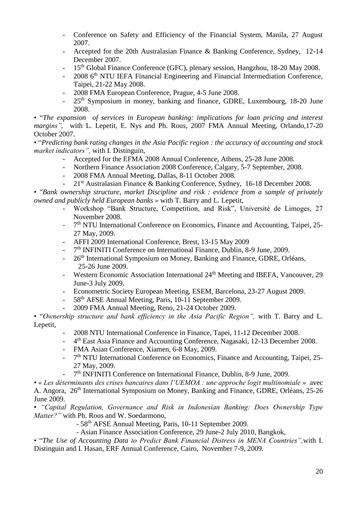- Conference on Safety and Efficiency of the Financial System, Manila, 27 August 2007.
- Accepted for the 20th Australasian Finance & Banking Conference, Sydney, 12-14 December 2007.
- 15<sup>th</sup> Global Finance Conference (GFC), plenary session, Hangzhou, 18-20 May 2008.
- 2008 6<sup>th</sup> NTU IEFA Financial Engineering and Financial Intermediation Conference, Taipei, 21-22 May 2008.
- 2008 FMA European Conference, Prague, 4-5 June 2008.
- 25<sup>th</sup> Symposium in money, banking and finance, GDRE, Luxembourg, 18-20 June 2008.

• "*The expansion of services in European banking: implications for loan pricing and interest margins"*, with L. Lepetit, E. Nys and Ph. Rous, 2007 FMA Annual Meeting, Orlando, 17-20 October 2007.

• "*Predicting bank rating changes in the Asia Pacific region : the accuracy of accounting and stock market indicators",* with I. Distinguin,

- Accepted for the EFMA 2008 Annual Conference, Athens, 25-28 June 2008.
- Northern Finance Association 2008 Conference, Calgary, 5-7 September, 2008.
- 2008 FMA Annual Meeting, Dallas, 8-11 October 2008.
- 21<sup>st</sup> Australasian Finance & Banking Conference, Sydney, 16-18 December 2008.

• *"Bank ownership structure, market Discipline and risk : evidence from a sample of privately owned and publicly held European banks »* with T. Barry and L. Lepetit,

- Workshop "Bank Structure, Competition, and Risk", Université de Limoges, 27 November 2008.
- 7  $7<sup>th</sup> NTU International Conference on Economics, Finance and Accounting, Taipei, 25-$ 27 May, 2009.
- AFFI 2009 International Conference, Brest, 13-15 May 2009
- 7<sup>th</sup> INFINITI Conference on International Finance, Dublin, 8-9 June, 2009.
- 26<sup>th</sup> International Symposium on Money, Banking and Finance, GDRE, Orléans, 25-26 June 2009.
- Western Economic Association International 24<sup>th</sup> Meeting and IBEFA, Vancouver, 29 June-3 July 2009.
- Econometric Society European Meeting, ESEM, Barcelona, 23-27 August 2009.
- 58<sup>th</sup> AFSE Annual Meeting, Paris, 10-11 September 2009.
- 2009 FMA Annual Meeting, Reno, 21-24 October 2009.

• "*Ownership structure and bank efficiency in the Asia Pacific Region",* with T. Barry and L. Lepetit,

- 2008 NTU International Conference in Finance, Tapei, 11-12 December 2008.
- <sup>-4th</sup> East Asia Finance and Accounting Conference, Nagasaki, 12-13 December 2008.
- FMA Asian Conference, Xiamen, 6-8 May, 2009.
- 7<sup>th</sup> NTU International Conference on Economics, Finance and Accounting, Taipei, 25-27 May, 2009.
- 7<sup>th</sup> INFINITI Conference on International Finance, Dublin, 8-9 June, 2009.

• *« Les déterminants des crises bancaires dans l'UEMOA : une approche logit multinomiale »* avec A. Angora, 26<sup>th</sup> International Symposium on Money, Banking and Finance, GDRE, Orléans, 25-26 June 2009.

• *"Capital Regulation, Governance and Risk in Indonesian Banking: Does Ownership Type Matter?"* with Ph. Rous and W. Soedarmono,

- 58th AFSE Annual Meeting, Paris, 10-11 September 2009.

- Asian Finance Association Conference, 29 June-2 July 2010, Bangkok,

• "*The Use of Accounting Data to Predict Bank Financial Distress in MENA Countries",*with I. Distinguin and I. Hasan, ERF Annual Conference, Cairo, November 7-9, 2009.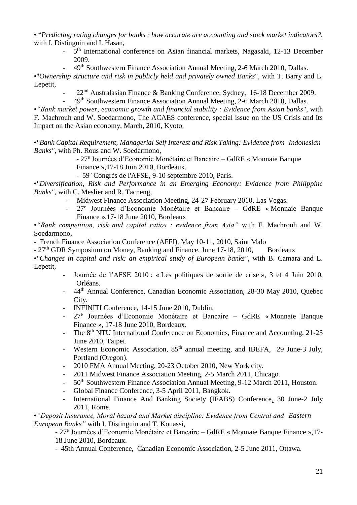• "*Predicting rating changes for banks : how accurate are accounting and stock market indicators?,* with I. Distinguin and I. Hasan,

- 5<sup>th</sup> International conference on Asian financial markets, Nagasaki, 12-13 December 2009.
- 49<sup>th</sup> Southwestern Finance Association Annual Meeting, 2-6 March 2010, Dallas.

•"*Ownership structure and risk in publicly held and privately owned Banks*", with T. Barry and L. Lepetit,

- $22<sup>nd</sup>$  Australasian Finance & Banking Conference, Sydney, 16-18 December 2009.
- 49th Southwestern Finance Association Annual Meeting, 2-6 March 2010, Dallas.

•*"Bank market power, economic growth and financial stability : Evidence from Asian banks*", with F. Machrouh and W. Soedarmono, The ACAES conference, special issue on the US Crisis and Its Impact on the Asian economy, March, 2010, Kyoto.

•*"Bank Capital Requirement, Managerial Self Interest and Risk Taking: Evidence from Indonesian Banks"*, with Ph. Rous and W. Soedarmono,

- 27<sup>e</sup> Journées d'Economie Monétaire et Bancaire – GdRE « Monnaie Banque

Finance »,17-18 Juin 2010, Bordeaux.

- 59<sup>e</sup> Congrès de l'AFSE, 9-10 septembre 2010, Paris.

•*["Diversification, Risk and Performance in an Emerging Economy: Evidence from Philippine](http://www.mfa-2010.com/papers/diversificationperformancerisk_feb9.pdf)  [Banks"](http://www.mfa-2010.com/papers/diversificationperformancerisk_feb9.pdf)*, with C. Meslier and R. Tacneng,

- Midwest Finance Association Meeting, 24-27 February 2010, Las Vegas.
- 27<sup>e</sup> Journées d'Economie Monétaire et Bancaire GdRE « Monnaie Banque Finance »,17-18 June 2010, Bordeaux

•*"Bank competition, risk and capital ratios : evidence from Asia"* with F. Machrouh and W. Soedarmono,

- French Finance Association Conference (AFFI), May 10-11, 2010, Saint Malo

- 27<sup>th</sup> GDR Symposium on Money, Banking and Finance, June 17-18, 2010, Bordeaux

•*"Changes in capital and risk: an empirical study of European banks"*, with B. Camara and L. Lepetit,

- Journée de l'AFSE 2010 : « Les politiques de sortie de crise », 3 et 4 Juin 2010, Orléans.
- 44<sup>th</sup> Annual Conference, Canadian Economic Association, 28-30 May 2010, Quebec City.
- INFINITI Conference, 14-15 June 2010, Dublin.
- 27<sup>e</sup> Journées d'Economie Monétaire et Bancaire GdRE « Monnaie Banque Finance », 17-18 June 2010, Bordeaux.
- The 8<sup>th</sup> NTU International Conference on Economics, Finance and Accounting, 21-23 June 2010, Taipei.
- Western Economic Association, 85<sup>th</sup> annual meeting, and IBEFA, 29 June-3 July, Portland (Oregon).
- 2010 FMA Annual Meeting, 20-23 October 2010, New York city.
- 2011 Midwest Finance Association Meeting, 2-5 March 2011, Chicago.
- 50<sup>th</sup> Southwestern Finance Association Annual Meeting, 9-12 March 2011, Houston.
- Global Finance Conference, 3-5 April 2011, Bangkok.
- International Finance And Banking Society (IFABS) Conference, 30 June-2 July 2011, Rome.

•*"Deposit Insurance, Moral hazard and Market discipline: Evidence from Central and Eastern European Banks"* with I. Distinguin and T. Kouassi,

- 27<sup>e</sup> Journées d'Economie Monétaire et Bancaire – GdRE « Monnaie Banque Finance », 17-18 June 2010, Bordeaux.

- 45th Annual Conference, Canadian Economic Association, 2-5 June 2011, Ottawa.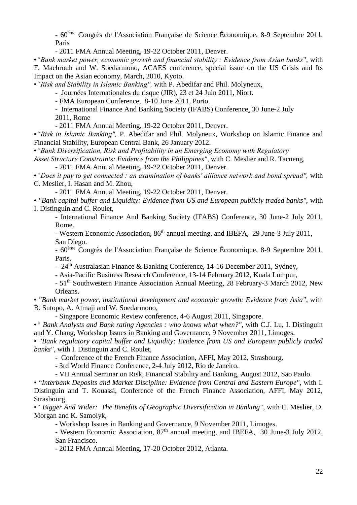- 60ème Congrès de l'Association Française de Science Économique, 8-9 Septembre 2011, Paris

- 2011 FMA Annual Meeting, 19-22 October 2011, Denver.

•*"Bank market power, economic growth and financial stability : Evidence from Asian banks*", with F. Machrouh and W. Soedarmono, ACAES conference, special issue on the US Crisis and Its Impact on the Asian economy, March, 2010, Kyoto.

•*"Risk and Stability in Islamic Banking",* with P. Abedifar and Phil. Molyneux,

- Journées Internationales du risque (JIR), 23 et 24 Juin 2011, Niort.

- FMA European Conference, 8-10 June 2011, Porto.

- International Finance And Banking Society (IFABS) Conference, 30 June-2 July 2011, Rome

- 2011 FMA Annual Meeting, 19-22 October 2011, Denver.

•*"Risk in Islamic Banking",* P. Abedifar and Phil. Molyneux, Workshop on Islamic Finance and Financial Stability, European Central Bank, 26 January 2012.

•*"Bank Diversification, Risk and Profitability in an Emerging Economy with Regulatory*

*Asset Structure Constraints: Evidence from the Philippines",* with C. Meslier and R. Tacneng, - 2011 FMA Annual Meeting, 19-22 October 2011, Denver.

•*"Does it pay to get connected : an examination of banks' alliance network and bond spread",* with C. Meslier, I. Hasan and M. Zhou,

- 2011 FMA Annual Meeting, 19-22 October 2011, Denver.

• *"Bank capital buffer and Liquidity: Evidence from US and European publicly traded banks",* with I. Distinguin and C. Roulet,

- International Finance And Banking Society (IFABS) Conference, 30 June-2 July 2011, Rome.

- Western Economic Association, 86<sup>th</sup> annual meeting, and IBEFA, 29 June-3 July 2011, San Diego.

- 60ème Congrès de l'Association Française de Science Économique, 8-9 Septembre 2011, Paris.

- 24<sup>th</sup> Australasian Finance & Banking Conference, 14-16 December 2011, Sydney,

- Asia-Pacific Business Research Conference, 13-14 February 2012, Kuala Lumpur,

- 51<sup>th</sup> Southwestern Finance Association Annual Meeting, 28 February-3 March 2012, New Orleans.

• *"Bank market power, institutional development and economic growth: Evidence from Asia"*, with B. Sutopo, A. Atmaji and W. Soedarmono,

- Singapore Economic Review conference, 4-6 August 2011, Singapore.

•*" Bank Analysts and Bank rating Agencies : who knows what when?"*, with C.J. Lu, I. Distinguin and Y. Chang, Workshop Issues in Banking and Governance, 9 November 2011, Limoges.

• *"Bank regulatory capital buffer and Liquidity: Evidence from US and European publicly traded banks",* with I. Distinguin and C. Roulet,

- Conference of the French Finance Association, AFFI, May 2012, Strasbourg.

- 3rd World Finance Conference, 2-4 July 2012, Rio de Janeiro.

- VII Annual Seminar on Risk, Financial Stability and Banking, August 2012, Sao Paulo.

• "*Interbank Deposits and Market Discipline: Evidence from Central and Eastern Europe",* with I. Distinguin and T. Kouassi, Conference of the French Finance Association, AFFI, May 2012, Strasbourg.

•*" Bigger And Wider: The Benefits of Geographic Diversification in Banking"*, with C. Meslier, D. Morgan and K. Samolyk,

- Workshop Issues in Banking and Governance, 9 November 2011, Limoges.

- Western Economic Association, 87<sup>th</sup> annual meeting, and IBEFA, 30 June-3 July 2012, San Francisco.

- 2012 FMA Annual Meeting, 17-20 October 2012, Atlanta.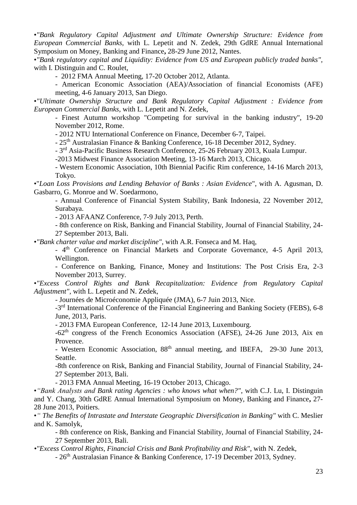•*"Bank Regulatory Capital Adjustment and Ultimate Ownership Structure: Evidence from European Commercial Banks,* with L. Lepetit and N. Zedek, 29th GdRE Annual International Symposium on Money, Banking and Finance**,** 28-29 June 2012, Nantes.

•*"Bank regulatory capital and Liquidity: Evidence from US and European publicly traded banks",*  with I. Distinguin and C. Roulet,

- 2012 FMA Annual Meeting, 17-20 October 2012, Atlanta.

- American Economic Association (AEA)/Association of financial Economists (AFE) meeting, 4-6 January 2013, San Diego.

•*"Ultimate Ownership Structure and Bank Regulatory Capital Adjustment : Evidence from European Commercial Banks,* with L. Lepetit and N. Zedek,

- Finest Autumn workshop "Competing for survival in the banking industry", 19-20 November 2012, Rome.

- 2012 NTU International Conference on Finance, December 6-7, Taipei.

- 25th Australasian Finance & Banking Conference, 16-18 December 2012, Sydney.

- 3<sup>rd</sup> Asia-Pacific Business Research Conference, 25-26 February 2013, Kuala Lumpur.

-2013 Midwest Finance Association Meeting, 13-16 March 2013, Chicago.

- Western Economic Association, 10th Biennial Pacific Rim conference, 14-16 March 2013, Tokyo.

•"*Loan Loss Provisions and Lending Behavior of Banks : Asian Evidence*", with A. Agusman, D. Gasbarro, G. Monroe and W. Soedarmono,

- Annual Conference of Financial System Stability, Bank Indonesia, 22 November 2012, Surabaya.

- 2013 AFAANZ Conference, 7-9 July 2013, Perth.

- 8th conference on Risk, Banking and Financial Stability, Journal of Financial Stability, 24- 27 September 2013, Bali.

•*"Bank charter value and market discipline"*, with A.R. Fonseca and M. Haq,

- 4<sup>th</sup> Conference on Financial Markets and Corporate Governance, 4-5 April 2013, Wellington.

- Conference on Banking, Finance, Money and Institutions: The Post Crisis Era, 2-3 November 2013, Surrey.

•*"Excess Control Rights and Bank Recapitalization: Evidence from Regulatory Capital Adjustment",* with L. Lepetit and N. Zedek,

- Journées de Microéconomie Appliquée (JMA), 6-7 Juin 2013, Nice.

-3<sup>rd</sup> International Conference of the Financial Engineering and Banking Society (FEBS), 6-8 June, 2013, Paris.

- 2013 FMA European Conference, 12-14 June 2013, Luxembourg.

 $-62<sup>th</sup>$  congress of the French Economics Association (AFSE), 24-26 June 2013, Aix en Provence.

- Western Economic Association, 88<sup>th</sup> annual meeting, and IBEFA, 29-30 June 2013, Seattle.

-8th conference on Risk, Banking and Financial Stability, Journal of Financial Stability, 24- 27 September 2013, Bali.

- 2013 FMA Annual Meeting, 16-19 October 2013, Chicago.

•*"Bank Analysts and Bank rating Agencies : who knows what when?"*, with C.J. Lu, I. Distinguin and Y. Chang, 30th GdRE Annual International Symposium on Money, Banking and Finance**,** 27- 28 June 2013, Poitiers.

•*" The Benefits of Intrastate and Interstate Geographic Diversification in Banking"* with C. Meslier and K. Samolyk,

- 8th conference on Risk, Banking and Financial Stability, Journal of Financial Stability, 24- 27 September 2013, Bali.

*•"Excess Control Rights, Financial Crisis and Bank Profitability and Risk"*, with N. Zedek,

- 26th Australasian Finance & Banking Conference, 17-19 December 2013, Sydney.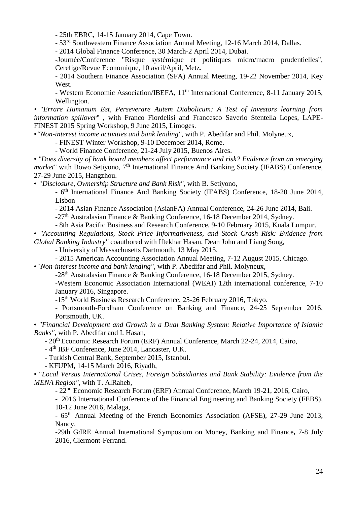- 25th EBRC, 14-15 January 2014, Cape Town.

- 53rd Southwestern Finance Association Annual Meeting, 12-16 March 2014, Dallas.

- 2014 Global Finance Conference, 30 March-2 April 2014, Dubai.

-Journée/Conference "Risque systémique et politiques micro/macro prudentielles", Cerefige/Revue Economique, 10 avril/April, Metz.

- 2014 Southern Finance Association (SFA) Annual Meeting, 19-22 November 2014, Key West.

- Western Economic Association/IBEFA, 11<sup>th</sup> International Conference, 8-11 January 2015, Wellington.

*•* "*Errare Humanum Est, Perseverare Autem Diabolicum: A Test of Investors learning from information spillover*" , with Franco Fiordelisi and Francesco Saverio Stentella Lopes, LAPE-FINEST 2015 Spring Workshop, 9 June 2015, Limoges.

•*"Non-interest income activities and bank lending",* with P. Abedifar and Phil. Molyneux,

- FINEST Winter Workshop, 9-10 December 2014, Rome.

- World Finance Conference, 21-24 July 2015, Buenos Aires.

• *"Does diversity of bank board members affect performance and risk? Evidence from an emerging*  market" with Bowo Setiyono, 7<sup>th</sup> International Finance And Banking Society (IFABS) Conference, 27-29 June 2015, Hangzhou.

• *"Disclosure, Ownership Structure and Bank Risk",* with B. Setiyono,

- 6<sup>th</sup> International Finance And Banking Society (IFABS) Conference, 18-20 June 2014, Lisbon

- 2014 Asian Finance Association (AsianFA) Annual Conference, 24-26 June 2014, Bali.

-27th Australasian Finance & Banking Conference, 16-18 December 2014, Sydney.

- 8th Asia Pacific Business and Research Conference, 9-10 February 2015, Kuala Lumpur.

• *"Accounting Regulations, Stock Price Informativeness, and Stock Crash Risk: Evidence from Global Banking Industry"* coauthored with Iftekhar Hasan, Dean John and Liang Song,

- University of Massachusetts Dartmouth, 13 May 2015.

- 2015 American Accounting Association Annual Meeting, 7-12 August 2015, Chicago.

•*"Non-interest income and bank lending",* with P. Abedifar and Phil. Molyneux,

-28th Australasian Finance & Banking Conference, 16-18 December 2015, Sydney.

-Western Economic Association International (WEAI) 12th international conference, 7-10 January 2016, Singapore.

-15<sup>th</sup> World Business Research Conference, 25-26 February 2016, Tokyo.

- Portsmouth-Fordham Conference on Banking and Finance, 24-25 September 2016, Portsmouth, UK.

• *"Financial Development and Growth in a Dual Banking System: Relative Importance of Islamic Banks"*, with P. Abedifar and I. Hasan,

- 20<sup>th</sup> Economic Research Forum (ERF) Annual Conference, March 22-24, 2014, Cairo,

- 4<sup>th</sup> IBF Conference, June 2014, Lancaster, U.K.

- Turkish Central Bank, September 2015, Istanbul.

- KFUPM, 14-15 March 2016, Riyadh,

• "*Local Versus International Crises, Foreign Subsidiaries and Bank Stability: Evidence from the MENA Region"*, with T. AlRaheb,

- 22nd Economic Research Forum (ERF) Annual Conference, March 19-21, 2016, Cairo,

- 2016 International Conference of the Financial Engineering and Banking Society (FEBS), 10-12 June 2016, Malaga,

- 65th Annual Meeting of the French Economics Association (AFSE), 27-29 June 2013, Nancy,

-29th GdRE Annual International Symposium on Money, Banking and Finance**,** 7-8 July 2016, Clermont-Ferrand.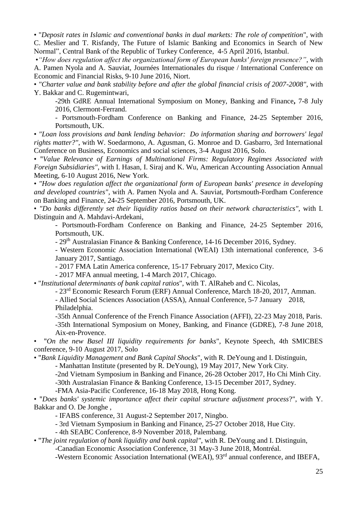• "*Deposit rates in Islamic and conventional banks in dual markets: The role of competition*", with C. Meslier and T. Risfandy, The Future of Islamic Banking and Economics in Search of New Normal", Central Bank of the Republic of Turkey Conference, 4-5 April 2016, Istanbul.

•*"How does regulation affect the organizational form of European banks' foreign presence?"*, with A. Pamen Nyola and A. Sauviat, Journées Internationales du risque / International Conference on Economic and Financial Risks, 9-10 June 2016, Niort.

• *"Charter value and bank stability before and after the global financial crisis of 2007-2008"*, with Y. Bakkar and C. Rugemintwari,

-29th GdRE Annual International Symposium on Money, Banking and Finance**,** 7-8 July 2016, Clermont-Ferrand.

- Portsmouth-Fordham Conference on Banking and Finance, 24-25 September 2016, Portsmouth, UK.

• *"Loan loss provisions and bank lending behavior: Do information sharing and borrowers' legal rights matter?"*, with W. Soedarmono, A. Agusman, G. Monroe and D. Gasbarro, 3rd International Conference on Business, Economics and social sciences, 3-4 August 2016, Solo.

• "*Value Relevance of Earnings of Multinational Firms: Regulatory Regimes Associated with Foreign Subsidiaries"*, with I. Hasan, I. Siraj and K. Wu, American Accounting Association Annual Meeting, 6-10 August 2016, New York.

• *"How does regulation affect the organizational form of European banks' presence in developing and developed countries"*, with A. Pamen Nyola and A. Sauviat, Portsmouth-Fordham Conference on Banking and Finance, 24-25 September 2016, Portsmouth, UK.

• *"Do banks differently set their liquidity ratios based on their network characteristics",* with I. Distinguin and A. Mahdavi-Ardekani,

- Portsmouth-Fordham Conference on Banking and Finance, 24-25 September 2016, Portsmouth, UK.

- 29th Australasian Finance & Banking Conference, 14-16 December 2016, Sydney.

- Western Economic Association International (WEAI) 13th international conference, 3-6 January 2017, Santiago.

- 2017 FMA Latin America conference, 15-17 February 2017, Mexico City.

- 2017 MFA annual meeting, 1-4 March 2017, Chicago.

• "*Institutional determinants of bank capital ratios*", with T. AlRaheb and C. Nicolas,

- 23rd Economic Research Forum (ERF) Annual Conference, March 18-20, 2017, Amman.

- Allied Social Sciences Association (ASSA), Annual Conference, 5-7 January 2018, Philadelphia.

-35th Annual Conference of the French Finance Association (AFFI), 22-23 May 2018, Paris. -35th International Symposium on Money, Banking, and Finance (GDRE), 7-8 June 2018, Aix-en-Provence.

• "*On the new Basel III liquidity requirements for banks*", Keynote Speech, 4th SMICBES conference, 9-10 August 2017, Solo

• "*Bank Liquidity Management and Bank Capital Shocks*", with R. DeYoung and I. Distinguin,

- Manhattan Institute (presented by R. DeYoung), 19 May 2017, New York City.

-2nd Vietnam Symposium in Banking and Finance, 26-28 October 2017, Ho Chi Minh City.

-30th Australasian Finance & Banking Conference, 13-15 December 2017, Sydney.

-FMA Asia-Pacific Conference, 16-18 May 2018, Hong Kong.

• "*Does banks' systemic importance affect their capital structure adjustment process*?", with Y. Bakkar and O. De Jonghe ,

- IFABS conference, 31 August-2 September 2017, Ningbo.

- 3rd Vietnam Symposium in Banking and Finance, 25-27 October 2018, Hue City.

- 4th SEABC Conference, 8-9 November 2018, Palembang.

• "*The joint regulation of bank liquidity and bank capital"*, with R. DeYoung and I. Distinguin, -Canadian Economic Association Conference, 31 May-3 June 2018, Montréal.

-Western Economic Association International (WEAI), 93<sup>rd</sup> annual conference, and IBEFA,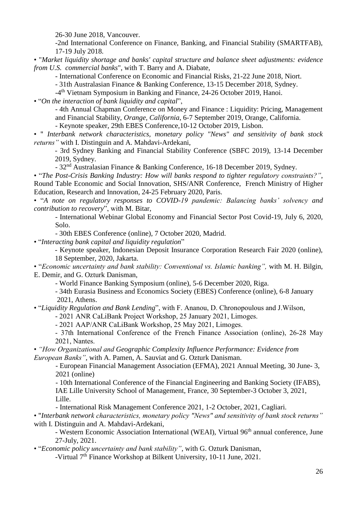26-30 June 2018, Vancouver.

-2nd International Conference on Finance, Banking, and Financial Stability (SMARTFAB), 17-19 July 2018.

• "*Market liquidity shortage and banks' capital structure and balance sheet adjustments: evidence from U.S. commercial banks*", with T. Barry and A. Diabate,

- International Conference on Economic and Financial Risks, 21-22 June 2018, Niort.

- 31th Australasian Finance & Banking Conference, 13-15 December 2018, Sydney.

-4<sup>th</sup> Vietnam Symposium in Banking and Finance, 24-26 October 2019, Hanoi.

• "*On the interaction of bank liquidity and capital*",

- 4th Annual Chapman Conference on Money and Finance : Liquidity: Pricing, Management and Financial Stability, *Orange, California*, 6-7 September 2019, Orange, California.

- Keynote speaker, 29th EBES Conference,10-12 October 2019, Lisbon.

• " *Interbank network characteristics, monetary policy "News" and sensitivity of bank stock returns"* with I. Distinguin and A. Mahdavi-Ardekani,

- 3rd Sydney Banking and Financial Stability Conference (SBFC 2019), 13-14 December 2019, Sydney.

- 32nd Australasian Finance & Banking Conference, 16-18 December 2019, Sydney.

• "*The Post-Crisis Banking Industry: How will banks respond to tighter regulatory constraints?"*, Round Table Economic and Social Innovation, SHS/ANR Conference, French Ministry of Higher Education, Research and Innovation, 24-25 February 2020, Paris.

• "*A note on regulatory responses to COVID-19 pandemic: Balancing banks' solvency and contribution to recovery*", with M. Bitar,

- International Webinar Global Economy and Financial Sector Post Covid-19, July 6, 2020, Solo.

- 30th EBES Conference (online)*,* 7 October 2020, Madrid.

• "*Interacting bank capital and liquidity regulation*"

- Keynote speaker, Indonesian Deposit Insurance Corporation Research Fair 2020 (online), 18 September, 2020, Jakarta.

• "*Economic uncertainty and bank stability: Conventional vs. Islamic banking",* with M. H. Bilgin, E. Demir, and G. Ozturk Danisman,

- World Finance Banking Symposium (online), 5-6 December 2020, Riga.

- 34th Eurasia Business and Economics Society (EBES) Conference (online), 6-8 January 2021, Athens.

• "*Liquidity Regulation and Bank Lending*", with F. Ananou, D. Chronopoulous and J.Wilson,

- 2021 ANR CaLiBank Project Workshop, 25 January 2021, Limoges.

- 2021 AAP/ANR CaLiBank Workshop, 25 May 2021, Limoges.

- 37th International Conference of the French Finance Association (online), 26-28 May 2021, Nantes.

• *"How Organizational and Geographic Complexity Influence Performance: Evidence from European Banks"*, with A. Pamen, A. Sauviat and G. Ozturk Danisman.

- European Financial Management Association (EFMA), 2021 Annual Meeting, 30 June- 3, 2021 (online)

- 10th International Conference of the Financial Engineering and Banking Society (IFABS), IAE Lille University School of Management, France, 30 September-3 October 3, 2021, Lille.

- International Risk Management Conference 2021, 1-2 October, 2021, Cagliari.

• "*Interbank network characteristics, monetary policy "News" and sensitivity of bank stock returns"* with I. Distinguin and A. Mahdavi-Ardekani,

- Western Economic Association International (WEAI), Virtual 96<sup>th</sup> annual conference, June 27-July, 2021.

• "*Economic policy uncertainty and bank stability"*, with G. Ozturk Danisman,

-Virtual 7<sup>th</sup> Finance Workshop at Bilkent University, 10-11 June, 2021.